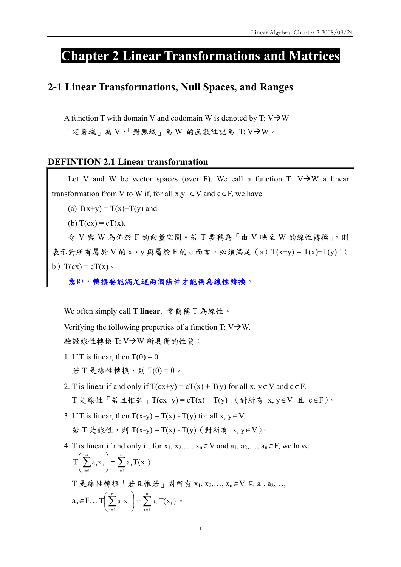# **Chapter 2 Linear Transformations and Matrices**

## **2-1 Linear Transformations, Null Spaces, and Ranges**

A function T with domain V and codomain W is denoted by T:  $V\rightarrow W$  $\sqrt{2}$  定義域」為 V, 「對應域」為 W 的函數註記為 T: V->W。

## **DEFINTION 2.1 Linear transformation**

Let V and W be vector spaces (over F). We call a function T:  $V\rightarrow W$  a linear transformation from V to W if, for all  $x,y \in V$  and  $c \in F$ , we have

(a)  $T(x+y) = T(x)+T(y)$  and

(b)  $T(cx) = cT(x)$ .

令 V 與 W 為佈於 F 的向量空間。若 T 要稱為「由 V 映至 W 的線性轉換」,則 表示對所有屬於 V 的 x、y 與屬於 F 的 c 而言,必須滿足 (a)  $T(x+y) = T(x) + T(y)$ ; ( b)  $T(cx) = cT(x)$ 

意即,轉換要能滿足這兩個條件才能稱為線性轉換

We often simply call **T linear**. 常簡稱 T 為線性。

Verifying the following properties of a function  $T: V \rightarrow W$ .

驗證線性轉換 T: V→W 所具備的性質:

- 1. If T is linear, then  $T(0) = 0$ . 若 T 是線性轉換,則 T(0) = 0。
- 2. T is linear if and only if  $T(cx+y) = cT(x) + T(y)$  for all x,  $y \in V$  and  $c \in F$ . T 是線性「若且惟若」T(cx+y) = cT(x) + T(y) (對所有 x, y∈V 且 c∈F)。
- 3. If T is linear, then  $T(x-y) = T(x) T(y)$  for all  $x, y \in V$ . 若 T 是線性,則 T(x-y) = T(x) - T(y)(對所有 x, y ∈ V)。
- 4. T is linear if and only if, for  $x_1, x_2, \ldots, x_n \in V$  and  $a_1, a_2, \ldots, a_n \in F$ , we have  $\sum_{i=1} a_i x_i = \sum_{i=1} a_i$ ⎠  $\left(\sum_{i=1}^n a_i x_i\right)$ ⎝  $\begin{pmatrix} n \\ n \end{pmatrix}$   $\frac{n}{n}$  $i = 1$  $i^{\perp}$ <sup> $\Lambda$ </sup>i n  $i = 1$  $T \sum a_i x_i$  =  $\sum a_i T(x_i)$

T 是線性轉換「若且惟若」對所有 x1, x2,…, xn∈V 且 a1, a2,…,  $a_n \in F \dots T \Big( \sum_{i=1} a_i x_i \Big) = \sum_{i=1}$ ⎠  $\left(\sum_{i=1}^{n} a_i x_i\right)$ ⎝  $\begin{pmatrix} n \\ n \end{pmatrix}$   $\mathbf{r}$  $i = 1$  $i^{\perp}$   $\langle \Lambda_i$ n  $i = 1$  $\begin{aligned} T \mid \sum a_i x_i \mid = \sum a_i T(x_i) \end{aligned}$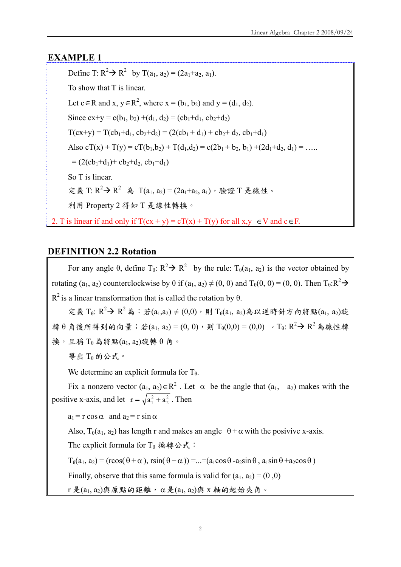## **EXAMPLE 1**

Define T:  $R^2 \to R^2$  by T(a<sub>1</sub>, a<sub>2</sub>) = (2a<sub>1</sub>+a<sub>2</sub>, a<sub>1</sub>). To show that T is linear. Let  $c \in R$  and  $x, y \in R^2$ , where  $x = (b_1, b_2)$  and  $y = (d_1, d_2)$ . Since  $cx+y = c(b_1, b_2) + (d_1, d_2) = (cb_1+d_1, cb_2+d_2)$  $T(cx+y) = T(cb<sub>1</sub>+d<sub>1</sub>, cb<sub>2</sub>+d<sub>2</sub>) = (2(cb<sub>1</sub>+d<sub>1</sub>) + cb<sub>2</sub>+d<sub>2</sub>, cb<sub>1</sub>+d<sub>1</sub>)$ Also  $cT(x) + T(y) = cT(b_1, b_2) + T(d_1, d_2) = c(2b_1 + b_2, b_1) + (2d_1 + d_2, d_1) = \dots$  $= (2(\text{cb}_1 + \text{d}_1) + \text{cb}_2 + \text{d}_2, \text{cb}_1 + \text{d}_1)$ So T is linear. 定義 T: R<sup>2</sup> → R<sup>2</sup> 為 T(a<sub>1</sub>, a<sub>2</sub>) = (2a<sub>1</sub>+a<sub>2</sub>, a<sub>1</sub>),驗證 T 是線性。 利用 Property 2 得知 T 是線性轉換。 2. T is linear if and only if  $T(cx + y) = cT(x) + T(y)$  for all  $x, y \in V$  and  $c \in F$ .

## **DEFINITION 2.2 Rotation**

For any angle  $\theta$ , define  $T_{\theta}$ :  $R^2 \rightarrow R^2$  by the rule:  $T_{\theta}(a_1, a_2)$  is the vector obtained by rotating  $(a_1, a_2)$  counterclockwise by  $\theta$  if  $(a_1, a_2) \neq (0, 0)$  and  $T_{\theta}(0, 0) = (0, 0)$ . Then  $T_{\theta}: \mathbb{R}^2 \rightarrow$  $R^2$  is a linear transformation that is called the rotation by  $\theta$ . 定義 T<sub>0</sub>: R<sup>2</sup> → R<sup>2</sup>為: 若(a<sub>1</sub>,a<sub>2</sub>) ≠ (0,0),則 T<sub>0</sub>(a<sub>1</sub>, a<sub>2</sub>)為以逆時針方向將點(a<sub>1</sub>, a<sub>2</sub>)旋 轉 $\theta$  角後所得到的向量;若(a<sub>1</sub>, a<sub>2</sub>) = (0, 0),則 T<sub>θ</sub>(0,0) = (0,0)。T<sub>θ</sub>: R<sup>2</sup> > R<sup>2</sup>為線性轉 換,且稱 T θ 為將點(a1, a2)旋轉 θ 角。 導出  $T_θ$ 的公式。 We determine an explicit formula for  $T_{\theta}$ . Fix a nonzero vector  $(a_1, a_2) \in R^2$ . Let  $\alpha$  be the angle that  $(a_1, a_2)$  makes with the positive x-axis, and let  $r = \sqrt{a_1^2 + a_2^2}$  $r = \sqrt{a_1^2 + a_2^2}$ . Then  $a_1 = r \cos \alpha$  and  $a_2 = r \sin \alpha$ Also,  $T_{\theta}(a_1, a_2)$  has length r and makes an angle  $\theta + \alpha$  with the posivive x-axis. The explicit formula for  $T_{\theta}$  換轉公式:  $T_{\theta}(a_1, a_2) = (r\cos(\theta + \alpha), r\sin(\theta + \alpha)) = ... = (a_1 \cos \theta - a_2 \sin \theta, a_1 \sin \theta + a_2 \cos \theta)$ Finally, observe that this same formula is valid for  $(a_1, a_2) = (0, 0)$  $r \not\equiv (a_1, a_2)$ 與原點的距離,α是 $(a_1, a_2)$ 與 x 軸的起始夾角。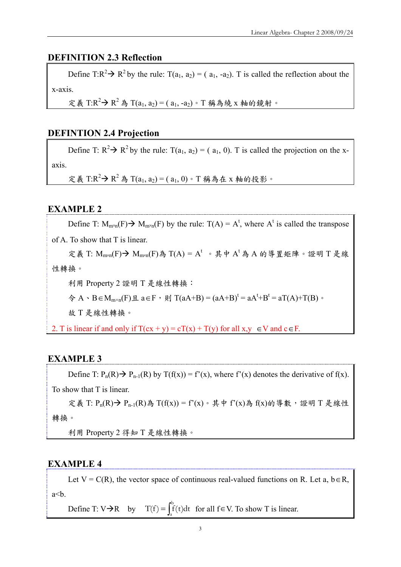## **DEFINITION 2.3 Reflection**

Define T: $R^2 \rightarrow R^2$  by the rule: T(a<sub>1</sub>, a<sub>2</sub>) = (a<sub>1</sub>, -a<sub>2</sub>). T is called the reflection about the x-axis.

定義 T:R<sup>2</sup> → R<sup>2</sup>為 T(a<sub>1</sub>, a<sub>2</sub>) = (a<sub>1</sub>, -a<sub>2</sub>) · T 稱為繞 x 軸的鏡射 ·

## **DEFINTION 2.4 Projection**

Define T:  $R^2 \rightarrow R^2$  by the rule: T(a<sub>1</sub>, a<sub>2</sub>) = (a<sub>1</sub>, 0). T is called the projection on the xaxis.

定義 T:R<sup>2</sup> → R<sup>2</sup>為 T(a<sub>1</sub>, a<sub>2</sub>) = (a<sub>1</sub>, 0) · T 稱為在 x 軸的投影 ·

## **EXAMPLE 2**

Define T:  $M_{m \times n}(F) \rightarrow M_{m \times n}(F)$  by the rule:  $T(A) = A^t$ , where  $A^t$  is called the transpose

of A. To show that T is linear.

定義 T:  $M_{m \times n}(F)$  →  $M_{m \times n}(F)$ 為 T(A) = A<sup>t</sup> 。其中 A<sup>t</sup>為 A 的導置矩陣。證明 T 是線 性轉換。

利用 Property 2 證明 T 是線性轉換:

 $\hat{\varphi}$  A ⋅ B∈M<sub>m×n</sub>(F)且 a∈F, 則 T(aA+B) = (aA+B)<sup>t</sup> = aA<sup>t</sup>+B<sup>t</sup> = aT(A)+T(B) ∘

故 T 是線性轉換。

2. T is linear if and only if  $T(cx + y) = cT(x) + T(y)$  for all  $x, y \in V$  and  $c \in F$ .

## **EXAMPLE 3**

Define T:  $P_n(R) \rightarrow P_{n-1}(R)$  by  $T(f(x)) = f'(x)$ , where  $f'(x)$  denotes the derivative of  $f(x)$ . To show that T is linear.

定義 T: P<sub>n</sub>(R)→ P<sub>n-1</sub>(R)為 T(f(x)) = f'(x)。其中 f'(x)為 f(x)的導數,證明 T 是線性 轉換。

利用 Property 2 得知 T 是線性轉換。

#### **EXAMPLE 4**

Let  $V = C(R)$ , the vector space of continuous real-valued functions on R. Let a, b  $\in$  R,  $a<sub>cb</sub>$ .

Define T: V $\rightarrow$ R by  $T(f) = \int_{a}^{b} f(t)dt$  for all  $f \in V$ . To show T is linear.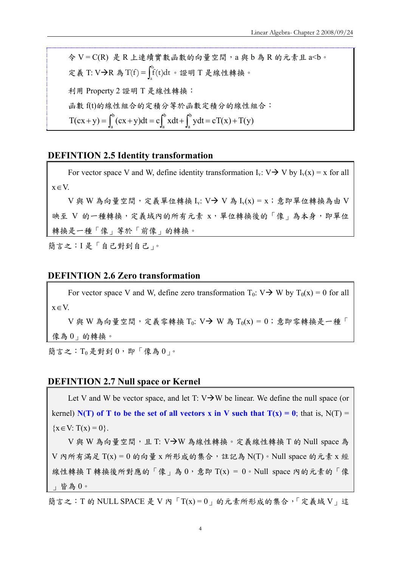令 V = C(R) 是 R 上連續實數函數的向量空間,a 與 b 為 R 的元素且 a<b。 定義 T: V→R 為 T(f) =  $\int_a^b f(t)dt$  。證明 T 是線性轉換。 利用 Property 2 證明 T 是線性轉換: 函數 f(t)的線性組合的定積分等於函數定積分的線性組合:  $T(cx + y) = \int_0^b (cx + y)dt = c \int_0^b xdt + \int_0^b ydt = cT(x) + T(y)$ a b a + y) =  $\int_a^b (cx + y) dt = c \int_a^b x dt + \int_a^b y dt = cT(x) +$ 

#### **DEFINTION 2.5 Identity transformation**

For vector space V and W, define identity transformation  $I_v$ :  $V \rightarrow V$  by  $I_v(x) = x$  for all x∈V.

 $V$ 與 W 為向量空間,定義單位轉換 Iv:  $V \rightarrow V$ 為 Iv(x) = x;意即單位轉換為由 V 映至 V 的一種轉換,定義域內的所有元素 x,單位轉換後的「像」為本身,即單位 轉換是一種「像」等於「前像」的轉換。

簡言之:I 是「自己對到自己」。

#### **DEFINTION 2.6 Zero transformation**

For vector space V and W, define zero transformation  $T_0$ : V $\rightarrow$  W by  $T_0(x) = 0$  for all x∈V.

 $V$ 與 W 為向量空間,定義零轉換 T<sub>0</sub>:  $V \rightarrow W$  為 T<sub>0</sub>(x) = 0;意即零轉換是一種「 像為 0」的轉換。

簡言之:  $T_0$ 是對到  $0 \cdot$  即「像為  $0_1 \circ$ 

#### **DEFINTION 2.7 Null space or Kernel**

Let V and W be vector space, and let T:  $V\rightarrow W$  be linear. We define the null space (or kernel)  $N(T)$  of T to be the set of all vectors x in V such that  $T(x) = 0$ ; that is,  $N(T) =$  ${x \in V: T(x) = 0}.$ 

 $V$ 與 W 為向量空間,且 T:  $V\rightarrow W$ 為線性轉換。定義線性轉換 T 的 Null space 為  $V$  內所有滿足  $T(x) = 0$  的向量 x 所形成的集合,註記為 N(T)。Null space 的元素 x 經 線性轉換 T轉換後所對應的「像」為  $0$ , 意即 T(x) =  $0$ 。Null space 內的元素的「像 」皆為 0。

簡言之: T的 NULL SPACE 是 V 內「T(x) =  $0<sub>g</sub>$  的元素所形成的集合,「定義域 V」這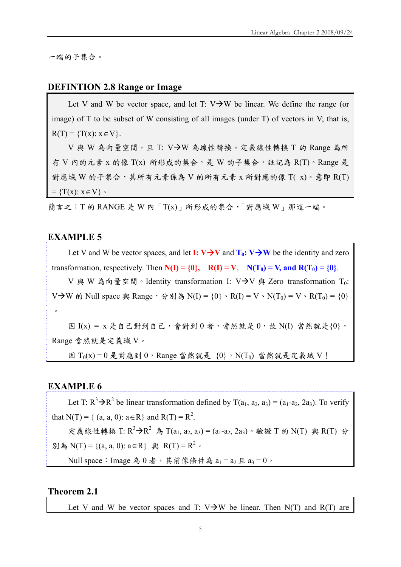一端的子集合。

#### **DEFINTION 2.8 Range or Image**

Let V and W be vector space, and let T:  $V\rightarrow W$  be linear. We define the range (or image) of T to be subset of W consisting of all images (under T) of vectors in V; that is,  $R(T) = {T(x): x \in V}.$ 

V與 W為向量空間,且 T: V→W為線性轉換。定義線性轉換 T 的 Range 為所 有 V 內的元素 x 的像 T(x) 所形成的集合,是 W 的子集合,註記為 R(T)。Range 是 對應域 W 的子集合,其所有元素係為 V 的所有元素 x 所對應的像 T( x)。意即 R(T)  $=\{T(x): x \in V\}$ 

簡言之: T 的 RANGE 是 W 內 「T(x)」所形成的集合, 「對應域 W」那這一端。

#### **EXAMPLE 5**

Let V and W be vector spaces, and let **I:**  $V \rightarrow V$  and  $T_0$ :  $V \rightarrow W$  be the identity and zero transformation, respectively. Then  $N(I) = \{0\}$ ,  $R(I) = V$ ,  $N(T_0) = V$ , and  $R(T_0) = \{0\}$ .

V 與 W 為向量空間。Identity transformation I: V $\rightarrow$ V 與 Zero transformation T<sub>0</sub>: V→W 的 Null space 與 Range, 分別為 N(I) = {0}、R(I) = V、N(T<sub>0</sub>) = V、R(T<sub>0</sub>) = {0}  $\circ$ 

因  $I(x) = x$ 是自己對到自己,會對到  $0 \neq y$ ,當然就是  $0$ ,故 N(I) 當然就是  $\{0\}$ , Range 當然就是定義域 V。

因  $T_0(x) = 0$  是對應到  $0$ , Range 當然就是  $\{0\}$ , N(T<sub>0</sub>) 當然就是定義域 V!

## **EXAMPLE 6**

Let T:  $R^3 \rightarrow R^2$  be linear transformation defined by T( $a_1, a_2, a_3$ ) = ( $a_1-a_2, a_3$ ). To verify that N(T) = { (a, a, 0):  $a \in R$ } and R(T) =  $R^2$ .

定義線性轉換 T:  $R^3$ → $R^2$  為 T(a<sub>1</sub>, a<sub>2</sub>, a<sub>3</sub>) = (a<sub>1</sub>-a<sub>2</sub>, 2a<sub>3</sub>) · 驗證 T 的 N(T) 與 R(T) 分 別為 N(T) = {(a, a, 0):  $a \in R$ } 與 R(T) =  $R^2$  ∘

Null space: Image 為  $0 \n 3 \rightarrow \frac{1}{2}$   $\frac{1}{2}$   $\frac{1}{2}$   $\frac{1}{2}$   $\frac{1}{2}$   $\frac{1}{2}$   $\frac{1}{2}$   $\frac{1}{2}$   $\frac{1}{2}$   $\frac{1}{2}$   $\frac{1}{2}$   $\frac{1}{2}$   $\frac{1}{2}$   $\frac{1}{2}$   $\frac{1}{2}$   $\frac{1}{2}$   $\frac{1}{2}$   $\frac{1}{2}$   $\frac{1}{2}$   $\frac$ 

#### **Theorem 2.1**

Let V and W be vector spaces and T:  $V\rightarrow W$  be linear. Then N(T) and R(T) are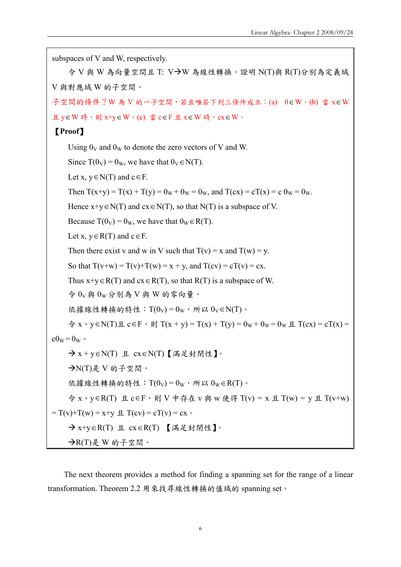```
subspaces of V and W, respectively. 
    \diamond V 與 W 為向量空間且 T: V→W 為線性轉換。證明 N(T)與 R(T)分別為定義域
V 與對應域 W 的子空間。
子空間的條件?W為V的一子空間,若且唯若下列三條件成立:(a) 0∈W。(b) 當 x∈W
且 y∈W 時,則 x+y∈W。(c) 當 c∈F 且 x∈W 時, cx∈W。
 【Proof】
    Using 0_V and 0_W to denote the zero vectors of V and W.
    Since T(0_V) = 0_W, we have that 0_V \in N(T).
    Let x, y \in N(T) and c \in F.
    Then T(x+y) = T(x) + T(y) = 0_W + 0_W = 0_W, and T(cx) = cT(x) = c 0_W = 0_W.
    Hence x+y \in N(T) and cx \in N(T), so that N(T) is a subspace of V.
    Because T(0_V) = 0_W, we have that 0_W \in R(T).
    Let x, y \in R(T) and c \in F.
    Then there exist v and w in V such that T(v) = x and T(w) = y.
    So that T(v+w) = T(v)+T(w) = x + y, and T(cv) = cT(v) = cx.
    Thus x+y \in R(T) and cx \in R(T), so that R(T) is a subspace of W.
    \hat{\varphi} 0_V 與 0_W 分別為 V 與 W 的零向量。
    依據線性轉換的特性: T(0_V) = 0_W, 所以 0_V \in N(T)。
    \hat{P} x ⋅ y ∈ N(T) \hat{H} c ∈ F ⋅ \hat{H} T(x + y) = T(x) + T(y) = 0w + 0w = 0w \hat{H} T(cx) = cT(x) =
c0_w = 0w \circÆ x + y∈N(T) 且 cx∈N(T)【滿足封閉性】。
    \rightarrowN(T)是 V 的子空間。
    依據線性轉換的特性: T(0_V) = 0_W, 所以 0_W \in R(T)。
    令 x、y∈R(T) 且 c∈F,則 V 中存在 v 與 w 使得 T(v) = x 且 T(w) = y 且 T(v+w) 
= T(v) + T(w) = x + y \text{ H } T(cv) = cT(v) = cxÆ x+y∈R(T) 且 cx∈R(T) 【滿足封閉性】。
    \rightarrowR(T)是 W 的子空間。
```
The next theorem provides a method for finding a spanning set for the range of a linear transformation. Theorem 2.2 用來找尋線性轉換的值域的 spanning set。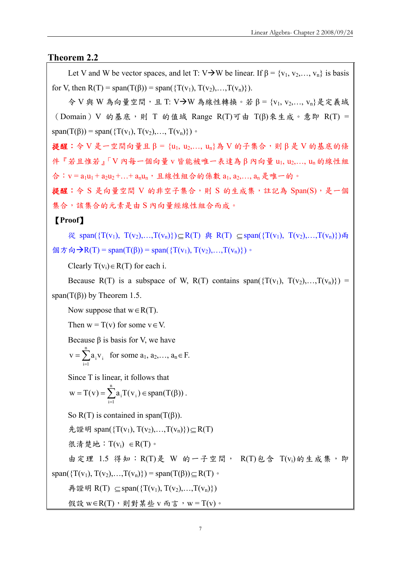## **Theorem 2.2**

Let V and W be vector spaces, and let T: V $\rightarrow$ W be linear. If  $\beta$  = {v<sub>1</sub>, v<sub>2</sub>, ..., v<sub>n</sub>} is basis for V, then  $R(T) = span(T(\beta)) = span(\{T(v_1), T(v_2),..., T(v_n)\})$ .

 $\hat{\varphi}$  V 與 W 為向量空間,且 T: V $\rightarrow$ W 為線性轉換。若 β = {v<sub>1</sub>, v<sub>2</sub>,..., v<sub>n</sub>}是定義域 (Domain)V 的基底,則 T 的值域 Range R(T)可由 T(β)來生成。意即 R(T) = span(T( $\beta$ )) = span({T(v<sub>1</sub>), T(v<sub>2</sub>),..., T(v<sub>n</sub>)}) ·

提醒:令 V 是一空間向量且 β = {u<sub>1</sub>, u<sub>2</sub>,..., u<sub>n</sub>}為 V 的子集合,則 β 是 V 的基底的條 件『若且惟若』「V 內每一個向量 v 皆能被唯一表達為 β 內向量 u1, u2,…, un 的線性組 合:  $v = a_1u_1 + a_2u_2 + ... + a_nu_n$ , 且線性組合的係數  $a_1, a_2,..., a_n$ 是唯一的。

提醒:令 S 是向量空間 V 的非空子集合,則 S 的生成集,註記為 Span(S),是一個 集合, 該集合的元素是由 S 內向量經線性組合而成。

【**Proof**】

從 span({T(v<sub>1</sub>), T(v<sub>2</sub>),...,T(v<sub>n</sub>)})⊂ R(T) 與 R(T) ⊂ span({T(v<sub>1</sub>), T(v<sub>2</sub>),...,T(v<sub>n</sub>)})兩 個方向→R(T) = span(T(β)) = span({T(v<sub>1</sub>), T(v<sub>2</sub>),...,T(v<sub>n</sub>}})。

Clearly  $T(v_i) \in R(T)$  for each i.

Because R(T) is a subspace of W, R(T) contains span( $\{T(v_1), T(v_2),...,T(v_n)\}\$ span( $T(\beta)$ ) by Theorem 1.5.

Now suppose that  $w \in R(T)$ .

Then  $w = T(v)$  for some  $v \in V$ .

Because β is basis for V, we have

$$
v = \sum_{i=1}^{n} a_i v_i
$$
 for some  $a_1, a_2, ..., a_n \in F$ .

Since T is linear, it follows that

$$
w = T(v) = \sum_{i=1}^{n} a_i T(v_i) \in span(T(\beta)).
$$

So R(T) is contained in span( $T(\beta)$ ).

先證明 span({T(v<sub>1</sub>), T(v<sub>2</sub>),...,T(v<sub>n</sub>)})⊆R(T)

很清楚地:  $T(v_i)$  ∈ R(T)。

由定理 1.5 得知:R(T)是 W 的一子空間, R(T)包含 T(vi)的生成集,即

再證明 R(T) ⊆ span({T(v<sub>1</sub>), T(v<sub>2</sub>),...,T(v<sub>n</sub>)})

span( $\{T(v_1), T(v_2),...,T(v_n)\}\)$  = span( $T(\beta)$ ) $\subset$ R(T)  $\circ$ 

假設 w∈R(T), 則對某些 v 而言, w = T(v)。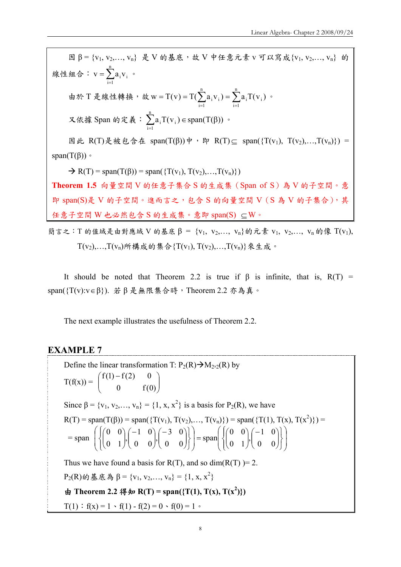$B = \{v_1, v_2, ..., v_n\}$ 是 V 的基底, 故 V 中任意元素 v 可以寫成 $\{v_1, v_2, ..., v_n\}$  的 線性組合:  $v = \sum_{i=1}$ n  $i = 1$  $v = \sum a_i v_i$  . 由於 T 是線性轉換, 故 w = T(v) = T( $\sum_{i=1} a_i v_i$ ) =  $\sum_{i=1}$ n  $i = 1$  $i$   $\sim$   $\sqrt{v}$ n  $i = 1$  $\mathbf{w} = \mathbf{T}(\mathbf{v}) = \mathbf{T}(\sum \mathbf{a}_{i} \mathbf{v}_{i}) = \sum \mathbf{a}_{i} \mathbf{T}(\mathbf{v}_{i})$  . 又依據 Span 的定義 :  $\sum_{i=1} a_i T(v_i) \in span(T(\beta$ n  $i = 1$  $a_i T(v_i) \in span(T(\beta))$  . 因此 R(T)是被包含在 span(T(β))中, 即 R(T)  $\subseteq$  span({T(v<sub>1</sub>), T(v<sub>2</sub>),...,T(v<sub>n</sub>)}) = span( $T(β)$ )  $\circ$  $\rightarrow R(T)$  = span(T( $\beta$ )) = span({T( $v_1$ ), T( $v_2$ ),...,T( $v_n$ )}) **Theorem 1.5** 向量空間 V 的任意子集合 S 的生成集(Span of S)為 V 的子空間。意 即 span(S)是 V 的子空間。進而言之,包含 S 的向量空間 V (S 為 V 的子集合),其 任意子空間 W 也必然包含 S 的生成集。意即 span(S) ⊆W。 簡言之: T 的值域是由對應域 V 的基底 β = {v<sub>1</sub>, v<sub>2</sub>,..., v<sub>n</sub>}的元素 v<sub>1</sub>, v<sub>2</sub>,..., v<sub>n</sub> 的像 T(v<sub>1</sub>),

 $T(v_2),...,T(v_n)$ 所構成的集合 $\{T(v_1), T(v_2),...,T(v_n)\}\times \pm \omega$ 。

It should be noted that Theorem 2.2 is true if  $\beta$  is infinite, that is,  $R(T)$  = span({T(v):v∈β}). 若 β 是無限集合時,Theorem 2.2 亦為真。

The next example illustrates the usefulness of Theorem 2.2.

## **EXAMPLE 7**

Define the linear transformation T:  $P_2(R) \rightarrow M_{2 \times 2}(R)$  by  $T(f(x)) = \begin{vmatrix} f(x) & f(x) & f(x) \\ 0 & f(x) \end{vmatrix}$ ⎠ ⎞  $\overline{\phantom{a}}$ ⎝  $(f(1) 0 \qquad \text{f}(0)$  $f(1) - f(2) = 0$ Since  $\beta = \{v_1, v_2, ..., v_n\} = \{1, x, x^2\}$  is a basis for P<sub>2</sub>(R), we have  $R(T) = span(T(\beta)) = span(\{T(v_1), T(v_2),..., T(v_n)\}) = span(\{T(1), T(x), T(x^2)\}) =$  $=$ span  $\left\{ \left\{ \begin{pmatrix} 0 & 0 \\ 0 & 1 \end{pmatrix}, \begin{pmatrix} -1 & 0 \\ 0 & 0 \end{pmatrix}, \begin{pmatrix} -3 & 0 \\ 0 & 0 \end{pmatrix} \right\} \right\}$  = span  $\left\{ \left\{ \begin{pmatrix} 0 & 0 \\ 0 & 1 \end{pmatrix}, \begin{pmatrix} -1 & 0 \\ 0 & 0 \end{pmatrix} \right\} \right\}$ ⎠ ⎞  $\overline{\phantom{a}}$  $\overline{ }$ ⎝  $\big($  $\overline{\mathcal{L}}$  $\vert$ ⎨  $\sqrt{ }$ ⎭  $\left\{ \right\}$  $\vert$  $\overline{\phantom{a}}$ ⎠ ⎞  $\overline{\phantom{a}}$ ⎝ ⎛−  $\overline{\phantom{a}}$ ⎠ ⎞  $\vert$ ⎝  $=\text{span}\left\{\left\{\right|\right\}$ ⎟ ⎠ ⎞  $\overline{ }$  $\overline{a}$ ⎝  $\big($  $\overline{\mathcal{L}}$  $\overline{a}$ ⎨  $\sqrt{2}$ ⎭  $\left\{ \right\}$  $\left| \begin{array}{c} \hline \end{array} \right|$  $\sqrt{ }$ ⎠  $\setminus$  $\overline{\phantom{a}}$ ⎝ ⎛−  $\sqrt{2}$ ⎠  $\setminus$  $\overline{\phantom{a}}$ ⎝ ⎛−  $\sqrt{ }$ ⎠ ⎞  $\overline{\phantom{a}}$ ⎝  $\sqrt{}$  $\begin{pmatrix} 0 & 0 \\ 0 & 1 \end{pmatrix}, \begin{pmatrix} -1 & 0 \\ 0 & 0 \end{pmatrix}$  $\begin{pmatrix} 0 & 0 \\ 0 & 1 \end{pmatrix}, \begin{pmatrix} -1 & 0 \\ 0 & 0 \end{pmatrix}, \begin{pmatrix} -3 & 0 \\ 0 & 0 \end{pmatrix}$  = span Thus we have found a basis for  $R(T)$ , and so dim( $R(T)$ )= 2.  $P_2(R)$ 的基底為β = {v<sub>1</sub>, v<sub>2</sub>,..., v<sub>n</sub>} = {1, x, x<sup>2</sup>} 由 **Theorem 2.2** 得知 **R**(T) = span({T(1), T(x), T(x<sup>2</sup>)})  $T(1)$ :  $f(x) = 1 \cdot f(1) - f(2) = 0 \cdot f(0) = 1$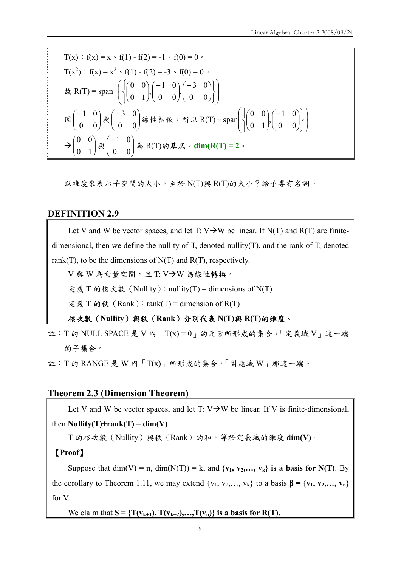T(x) : f(x) = x · f(1) - f(2) = -1 · f(0) = 0 ·  
\nT(x<sup>2</sup>) : f(x) = x<sup>2</sup> · f(1) - f(2) = -3 · f(0) = 0 ·  
\n& R(T) = span 
$$
\left( \begin{cases} \begin{pmatrix} 0 & 0 \\ 0 & 1 \end{pmatrix}, \begin{pmatrix} -1 & 0 \\ 0 & 0 \end{pmatrix}, \begin{pmatrix} -3 & 0 \\ 0 & 0 \end{pmatrix} \end{cases} \right)
$$
  
\n $\boxtimes \begin{pmatrix} -1 & 0 \\ 0 & 0 \end{pmatrix} \text{ if } \begin{pmatrix} -3 & 0 \\ 0 & 0 \end{pmatrix} \text{ if } \text{ if } R(T) = \text{span} \left( \begin{cases} \begin{pmatrix} 0 & 0 \\ 0 & 1 \end{pmatrix}, \begin{pmatrix} -1 & 0 \\ 0 & 0 \end{pmatrix} \end{cases} \right)$   
\n $\rightarrow \begin{pmatrix} 0 & 0 \\ 0 & 1 \end{pmatrix} \text{ if } \begin{pmatrix} -1 & 0 \\ 0 & 0 \end{pmatrix} \text{ if } R(T) \text{ if } \text{ if } R(T) = 2 \text{ or } R(T) = 2 \text{ if } R(T) = 2 \text{ if } R(T) = 2 \text{ if } R(T) = 2 \text{ if } R(T) = 2 \text{ if } R(T) = 2 \text{ if } R(T) = 2 \text{ if } R(T) = 2 \text{ if } R(T) = 2 \text{ if } R(T) = 2 \text{ if } R(T) = 2 \text{ if } R(T) = 2 \text{ if } R(T) = 2 \text{ if } R(T) = 2 \text{ if } R(T) = 2 \text{ if } R(T) = 2 \text{ if } R(T) = 2 \text{ if } R(T) = 2 \text{ if } R(T) = 2 \text{ if } R(T) = 2 \text{ if } R(T) = 2 \text{ if } R(T) = 2 \text{ if } R(T) = 2 \text{ if } R(T) = 2 \text{ if } R(T) = 2 \text{ if } R(T) = 2 \text{ if } R(T) = 2 \text{ if } R(T) = 2 \text{ if } R(T) = 2 \text{ if } R(T) = 2 \text{ if } R(T) = 2 \text{ if } R(T) = 2 \text{ if } R(T) = 2$ 

以維度來表示子空間的大小,至於 N(T)與 R(T)的大小?給予專有名詞。

## **DEFINITION 2.9**

Let V and W be vector spaces, and let T:  $V\rightarrow W$  be linear. If N(T) and R(T) are finitedimensional, then we define the nullity of T, denoted nullity(T), and the rank of T, denoted rank(T), to be the dimensions of  $N(T)$  and  $R(T)$ , respectively.

 $V$ 與 W 為向量空間,且 T: V $\rightarrow$ W 為線性轉換。

定義 T 的核次數 (Nullity): nullity(T) = dimensions of N(T)

定義 T 的秩 (Rank): rank(T) = dimension of  $R(T)$ 

核次數(**Nullity**)與秩(**Rank**)分別代表 **N(T)**與 **R(T)**的維度。

註: T 的 NULL SPACE 是 V 內 「T(x) =  $0<sub>1</sub>$  的元素所形成的集合, 「定義域 V 」這一端 的子集合。

註:T 的 RANGE 是 W 內「T(x)」所形成的集合,「對應域 W」那這一端。

## **Theorem 2.3 (Dimension Theorem)**

Let V and W be vector spaces, and let  $T: V \rightarrow W$  be linear. If V is finite-dimensional,

## then **Nullity**(**T**)+rank(**T**) =  $dim(V)$

T 的核次數(Nullity)與秩(Rank)的和,等於定義域的維度 **dim(V)**。

## 【**Proof**】

Suppose that  $\dim(V) = n$ ,  $\dim(N(T)) = k$ , and  $\{v_1, v_2,..., v_k\}$  is a basis for N(T). By the corollary to Theorem 1.11, we may extend  $\{v_1, v_2, \ldots, v_k\}$  to a basis  $\beta = \{v_1, v_2, \ldots, v_n\}$ for V.

We claim that  $S = \{T(v_{k+1}), T(v_{k+2}), \ldots, T(v_n)\}$  is a basis for  $R(T)$ .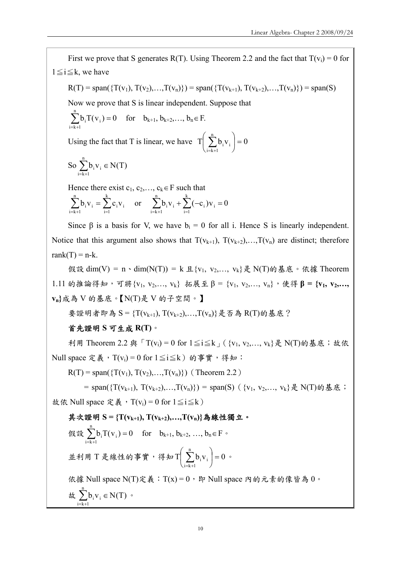First we prove that S generates R(T). Using Theorem 2.2 and the fact that  $T(v_i) = 0$  for  $1 \leq i \leq k$ , we have  $R(T) = span(\{T(v_1), T(v_2),..., T(v_n)\}) = span(\{T(v_{k+1}), T(v_{k+2}),..., T(v_n)\}) = span(S)$ Now we prove that S is linear independent. Suppose that  $b_i T(v_i) = 0$ n  $\sum_{i=k+1} b_i T(v_i) = 0$  for  $b_{k+1}, b_{k+2},..., b_n \in F$ . Using the fact that T is linear, we have  $\begin{bmatrix} T \end{bmatrix}$   $\sum b_i v_i = 0$ n  $i = k + 1$  $\mathbf{v}_i$  = ⎠  $\left(\sum_{i=1}^{n}b_{i}v_{i}\right)$ ⎝  $\Bigg(\sum_{i=k+}^n$ So  $\sum b_i v_i \in N(T)$ n  $\sum_{i=k+1} b_i v_i \in$ Hence there exist  $c_1, c_2, \ldots, c_k \in F$  such that  $\sum_{i=k+1}^{n} b_i v_i = \sum_{i=1}^{k}$  $i = 1$ i <sup>v</sup> i n  $i = k + 1$  $b_i v_i = \sum c_i v_i$  or  $\sum b_i v_i + \sum (-c_i) v_i = 0$ k  $i = 1$  $i$ ,  $j$   $v$ <sub>i</sub> n  $\sum_{i=k+1} b_i v_i + \sum_{i=1} (-c_i) v_i =$ Since  $\beta$  is a basis for V, we have  $b_i = 0$  for all i. Hence S is linearly independent. Notice that this argument also shows that  $T(v_{k+1}), T(v_{k+2}), \ldots, T(v_n)$  are distinct; therefore rank $(T) = n-k$ . 假設 dim(V) = n、dim(N(T)) = k 且 {v<sub>1</sub>, v<sub>2</sub>,..., v<sub>k</sub>} 是 N(T)的基底。依據 Theorem 1.11 的推論得知,可將{v<sub>1</sub>, v<sub>2</sub>,..., v<sub>k</sub>} 拓展至β = {v<sub>1</sub>, v<sub>2</sub>,..., v<sub>n</sub>},使得β = {v<sub>1</sub>, v<sub>2</sub>,..., **vn}**成為 V 的基底。【N(T)是 V 的子空間。】 要證明者即為 S = {T(Vk+1), T(Vk+2),...,T(Vn)}是否為 R(T)的基底? 首先證明 **S** 可生成 **R(T)**。 利用 Theorem 2.2 與「T(v<sub>i</sub>) = 0 for  $1 \leq i \leq k$ <sub>」</sub> ( {v<sub>1</sub>, v<sub>2</sub>,..., v<sub>k</sub>} 是 N(T)的基底; 故依 Null space 定義, T(v<sub>i</sub>) = 0 for  $1 ≤ i ≤ k$ ) 的事實, 得知:  $R(T) = span({T(v_1), T(v_2),...,T(v_n)})$  (Theorem 2.2) = span({ $T(v_{k+1}), T(v_{k+2}),..., T(v_n)$ }) = span(S)({ $v_1, v_2,..., v_k$ } 是 N(T)的基底; 故依 Null space 定義, T(v<sub>i</sub>) = 0 for  $1 \le i \le k$ ) 其次證明 **S = {T(vk+1), T(vk+2),…,T(vn)}**為線性獨立。 假設  $\sum b_i T(v_i) = 0$ n  $\sum_{i=k+1} b_i T(v_i) = 0$  for  $b_{k+1}, b_{k+2}, ..., b_n \in F$ . 並利用 T 是線性的事實, 得知 T  $\sum b_i v_i$  = 0 n  $i = k + 1$  $\mathbf{v}_i$  = ⎠  $\left(\begin{array}{c} n \\ \sum b_i v_i \end{array}\right)$ ⎝  $\left(\sum_{i=k+1}^n b_i v_i\right) = 0$  . 依據 Null space N(T)定義: T(x) =  $0 \cdot$  E Null space 内的元素的像皆為  $0 \cdot$  $\# \sum b_i v_i \in N(T)$ n  $\sum_{i=k+1} b_i v_i \in N(T)$  .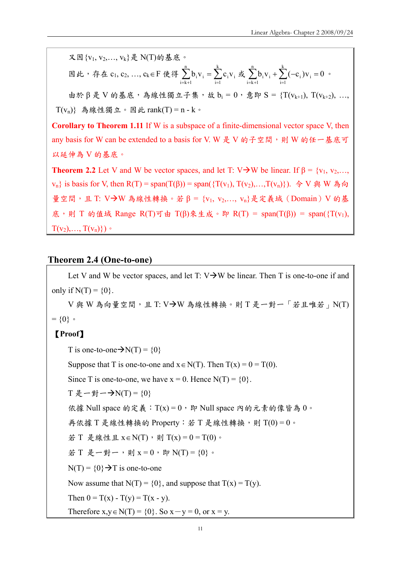又因{v1, v2,..., vk}是 N(T)的基底。

$$
\boxtimes \ \cancel{u} \ , \ \not\stackrel{\tau}{\mathcal{A}} \ \cancel{t} \ c_1, \ c_2, \ \ldots, \ c_k \in F \ \cancel{t} \ \cancel{t} \ \cancel{t}^n_i \\ \text{where} \ \frac{1}{i=k+1} b_i v_i = \sum_{i=1}^k c_i v_i \ \cancel{t} \ \cancel{t}^n_i \\ \text{where} \ \frac{1}{i=k+1} b_i v_i + \sum_{i=1}^k (-c_i) v_i = 0 \ \circ \text{where} \ \frac{1}{i=k+1} b_i v_i = 0 \ \text{where} \ \frac{1}{i=k+1} b_i v_i = 0 \ \text{where} \ \frac{1}{i=k+1} b_i v_i = 0 \ \text{where} \ \frac{1}{i=k+1} b_i v_i = 0 \ \text{where} \ \frac{1}{i=k+1} b_i v_i = 0 \ \text{where} \ \frac{1}{i=k+1} b_i v_i = 0 \ \text{where} \ \frac{1}{i=k+1} b_i v_i = 0 \ \text{where} \ \frac{1}{i=k+1} b_i v_i = 0 \ \text{where} \ \frac{1}{i=k+1} b_i v_i = 0 \ \text{where} \ \frac{1}{i=k+1} b_i v_i = 0 \ \text{where} \ \frac{1}{i=k+1} b_i v_i = 0 \ \text{where} \ \frac{1}{i=k+1} b_i v_i = 0 \ \text{where} \ \frac{1}{i=k+1} b_i v_i = 0 \ \text{where} \ \frac{1}{i=k+1} b_i v_i = 0 \ \text{where} \ \frac{1}{i=k+1} b_i v_i = 0 \ \text{where} \ \frac{1}{i=k+1} b_i v_i = 0 \ \text{where} \ \frac{1}{i=k+1} b_i v_i = 0 \ \text{where} \ \frac{1}{i=k+1} b_i v_i = 0 \ \text{where} \ \frac{1}{i=k+1} b_i v_i = 0 \ \text{where} \ \frac{1}{i=k+1} b_i v_i = 0 \ \text{where} \ \frac{1}{i=k+1} b_i v_i = 0 \ \text{where} \ \frac{1}{i=k+1} b_i v_i = 0 \ \text{where} \ \frac{1}{i=k+1} b_i v_i = 0 \ \text{where} \ \frac{1}{i=k+1} b_i v_i = 0 \ \text{where} \ \frac{1}{i=k+1}
$$

由於 β 是 V 的基底,為線性獨立子集,故 b<sub>i</sub> = 0, 意即 S = {T(v<sub>k+1</sub>), T(v<sub>k+2</sub>), ..., T(v<sub>n</sub>)}為線性獨立。因此 rank(T) = n - k。

**Corollary to Theorem 1.11** If W is a subspace of a finite-dimensional vector space V, then any basis for W can be extended to a basis for V. W 是 V 的子空間,則 W 的任一基底可 以延伸為 V 的基底。

**Theorem 2.2** Let V and W be vector spaces, and let T: V $\rightarrow$ W be linear. If  $\beta = \{v_1, v_2, \dots, v_n\}$  $v_n$ } is basis for V, then R(T) = span(T(β)) = span({T(v<sub>1</sub>), T(v<sub>2</sub>),...,T(v<sub>n</sub>)}). 令 V 與 W 為向 量空間,且 T: V->W 為線性轉換。若 β = {v<sub>1</sub>, v<sub>2</sub>,..., v<sub>n</sub>}是定義域 (Domain) V 的基 底,則 T 的值域 Range R(T)可由 T(β)來生成。即 R(T) = span(T(β)) = span({T(v<sub>1</sub>),  $T(v_2),..., T(v_n)$ )

#### **Theorem 2.4 (One-to-one)**

Let V and W be vector spaces, and let  $T: V \rightarrow W$  be linear. Then T is one-to-one if and only if  $N(T) = \{0\}$ .

 $V$ 與 W 為向量空間,且 T:  $V\rightarrow W$  為線性轉換。則 T 是一對一「若且唯若」N(T)  $= \{0\}$  。

## 【**Proof**】

T is one-to-one  $\rightarrow N(T) = \{0\}$ 

Suppose that T is one-to-one and  $x \in N(T)$ . Then  $T(x) = 0 = T(0)$ .

Since T is one-to-one, we have  $x = 0$ . Hence  $N(T) = \{0\}$ .

T 是一對一→N(T) =  $\{0\}$ 

依據 Null space 的定義: T(x) =  $0 \cdot$  E Null space 内的元素的像皆為  $0 \circ$ 

再依據 T 是線性轉換的 Property: 若 T 是線性轉換,則 T(0)=0。

若 T 是線性且 x∈N(T),則 T(x) = 0 = T(0)。

若 T 是一對一,則 x = 0, 即 N(T) =  $\{0\}$ 。

 $N(T) = \{0\} \rightarrow T$  is one-to-one

Now assume that  $N(T) = \{0\}$ , and suppose that  $T(x) = T(y)$ .

Then  $0 = T(x) - T(y) = T(x - y)$ .

Therefore  $x,y \in N(T) = \{0\}$ . So  $x - y = 0$ , or  $x = y$ .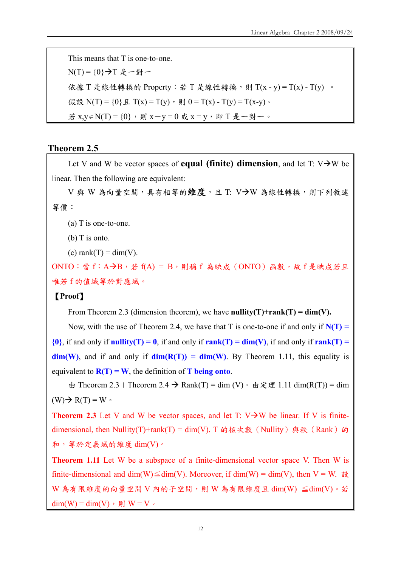This means that T is one-to-one.  $N(T) = {0}$   $\rightarrow$   $T$  是 一 對 一 依據 T 是線性轉換的 Property: 若 T 是線性轉換, 則 T(x - y) = T(x) - T(y) 。 假設 N(T) = {0} 且 T(x) = T(y), 則 0 = T(x) - T(y) = T(x-y)。 若 x,y∈N(T) = {0}, 則 x-y = 0 或 x = y, 即 T 是一對一。

#### **Theorem 2.5**

Let V and W be vector spaces of **equal (finite) dimension**, and let T:  $V \rightarrow W$  be linear. Then the following are equivalent:

V與 W 為向量空間,具有相等的維度,且 T: V→W 為線性轉換,則下列敘述 等價:

(a) T is one-to-one.

(b) T is onto.

(c) rank $(T) = dim(V)$ .

ONTO:當f:A→B,若 f(A) = B,則稱f 為映成(ONTO)函數,故 f 是映成若且 唯若 f 的值域等於對應域。

#### 【**Proof**】

From Theorem 2.3 (dimension theorem), we have **nullity(T)+rank(T) = dim(V).** 

Now, with the use of Theorem 2.4, we have that T is one-to-one if and only if  $N(T)$  =  $\{0\}$ , if and only if **nullity(T) = 0**, if and only if **rank(T) = dim(V)**, if and only if **rank(T) =**  $\dim(W)$ , and if and only if  $\dim(R(T)) = \dim(W)$ . By Theorem 1.11, this equality is equivalent to  $R(T) = W$ , the definition of **T** being onto.

由 Theorem 2.3 + Theorem 2.4  $\rightarrow$  Rank(T) = dim (V) · 由定理 1.11 dim(R(T)) = dim  $(W) \rightarrow R(T) = W$ 

**Theorem 2.3** Let V and W be vector spaces, and let T:  $V \rightarrow W$  be linear. If V is finitedimensional, then Nullity(T)+rank(T) = dim(V). T 的核次數(Nullity) 與秩(Rank)的 和,等於定義域的維度 dim(V)。

**Theorem 1.11** Let W be a subspace of a finite-dimensional vector space V. Then W is finite-dimensional and dim(W)  $\leq$  dim(V). Moreover, if dim(W) = dim(V), then V = W.  $\mathbb{R}$ .  $W$  為有限維度的向量空間  $V$  內的子空間,則  $W$  為有限維度且 dim(W)  $\leq$ dim(V)。若 dim(W) = dim(V), 則 W = V。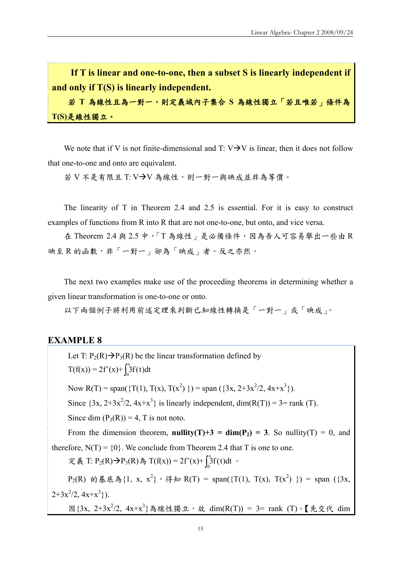**If T is linear and one-to-one, then a subset S is linearly independent if and only if T(S) is linearly independent.** 

若 **T** 為線性且為一對一,則定義域內子集合 **S** 為線性獨立「若且唯若」條件為 **T(S)**是線性獨立。

We note that if V is not finite-dimensional and T:  $V\rightarrow V$  is linear, then it does not follow that one-to-one and onto are equivalent.

若 V 不是有限且 T: V→V 為線性,則一對一與映成並非為等價。

The linearity of T in Theorem 2.4 and 2.5 is essential. For it is easy to construct examples of functions from R into R that are not one-to-one, but onto, and vice versa.

在 Theorem 2.4 與 2.5 中,「T為線性」是必備條件,因為吾人可容易舉出一些由 R 映至 R 的函數,非「一對一」卻為「映成」者。反之亦然。

The next two examples make use of the proceeding theorems in determining whether a given linear transformation is one-to-one or onto.

以下兩個例子將利用前述定理來判斷已知線性轉換是「一對一」或「映成」。

#### **EXAMPLE 8**

Let T:  $P_2(R) \rightarrow P_3(R)$  be the linear transformation defined by  $T(f(x)) = 2f'(x) + \int_0^x$  $\int_{0}^{\infty} 3f(t)dt$ 

Now R(T) = span({T(1), T(x), T(x<sup>2</sup>) }) = span({3x, 2+3x<sup>2</sup>/2, 4x+x<sup>3</sup>}).

Since  $\{3x, 2+3x^2/2, 4x+x^3\}$  is linearly independent, dim(R(T)) = 3= rank (T).

Since dim  $(P_3(R)) = 4$ , T is not noto.

From the dimension theorem, **nullity**(T)+3 =  $\dim(P_2)$  = 3. So nullity(T) = 0, and therefore,  $N(T) = \{0\}$ . We conclude from Theorem 2.4 that T is one to one.

定義 T: P<sub>2</sub>(R)→P<sub>3</sub>(R)為 T(f(x)) = 2f'(x)+  $\int_0^x$  $\int_{0}^{3} f(t) dt$  •

 $P_2(R)$  的基底為{1, x, x<sup>2</sup>},得知 R(T) = span({T(1), T(x), T(x<sup>2</sup>)}) = span ({3x,  $2+3x^2/2, 4x+x^3$ .

因 $\{3x, 2+3x^2/2, 4x+x^3\}$ 為線性獨立,故 dim $(R(T)) = 3$ = rank  $(T)$  · 【先交代 dim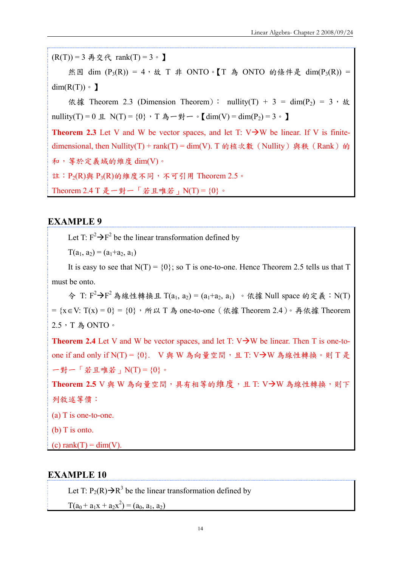$(R(T)) = 3$  再交代 rank $(T) = 3$  o 】 然因 dim  $(P_3(R)) = 4$ , 故 T 非 ONTO。【T 為 ONTO 的條件是 dim(P<sub>3</sub>(R)) =  $dim(R(T)) \circ \mathbf{I}$ 依據 Theorem 2.3 (Dimension Theorem): nullity(T) + 3 = dim(P<sub>2</sub>) = 3, 故 nullity(T) = 0 且 N(T) = {0}, T 為一對一。【dim(V) = dim(P<sub>2</sub>) = 3。】 **Theorem 2.3** Let V and W be vector spaces, and let T:  $V \rightarrow W$  be linear. If V is finitedimensional, then Nullity(T) + rank(T) = dim(V). T 的核次數(Nullity) 與秩(Rank)的 和,等於定義域的維度 dim(V)。 註:  $P_2(R)$ 與  $P_3(R)$ 的維度不同, 不可引用 Theorem 2.5。 Theorem  $2.4$  T 是一對一「若且唯若」 $N(T) = \{0\}$ 。

## **EXAMPLE 9**

Let T:  $F^2 \rightarrow F^2$  be the linear transformation defined by

 $T(a_1, a_2) = (a_1 + a_2, a_1)$ 

It is easy to see that  $N(T) = \{0\}$ ; so T is one-to-one. Hence Theorem 2.5 tells us that T must be onto.

令 T:  $F^2 \rightarrow F^2$ 為線性轉換且 T(a<sub>1</sub>, a<sub>2</sub>) = (a<sub>1</sub>+a<sub>2</sub>, a<sub>1</sub>) 。依據 Null space 的定義: N(T) =  ${x \in V: T(x) = 0}$  =  ${0}$ , 所以 T 為 one-to-one (依據 Theorem 2.4)。再依據 Theorem 2.5,T 為 ONTO。

**Theorem 2.4** Let V and W be vector spaces, and let T:  $V \rightarrow W$  be linear. Then T is one-toone if and only if  $N(T) = \{0\}$ . V 與 W 為向量空間, 且 T: V-N 為線性轉換。則 T 是 一對一「若且唯若」N(T) = {0}。

Theorem 2.5 V 與 W 為向量空間,具有相等的維度,且 T: V-N 為線性轉換,則下 列敘述等價:

(a) T is one-to-one.

(b) T is onto.

(c) rank $(T) = dim(V)$ .

#### **EXAMPLE 10**

Let T:  $P_2(R) \rightarrow R^3$  be the linear transformation defined by

 $T(a_0 + a_1x + a_2x^2) = (a_0, a_1, a_2)$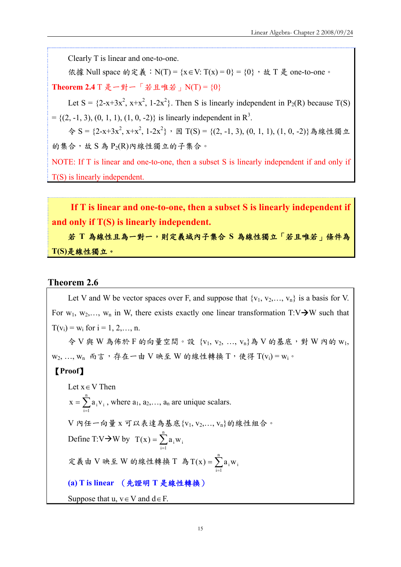Clearly T is linear and one-to-one.

依據 Null space 的定義: N(T) = {x ∈ V: T(x) = 0} = {0}, 故 T 是 one-to-one。

Theorem 2.4 T 是一對一「若且唯若」N(T) = {0}

Let S =  $\{2-x+3x^2, x+x^2, 1-2x^2\}$ . Then S is linearly independent in P<sub>2</sub>(R) because T(S)  $= \{(2, -1, 3), (0, 1, 1), (1, 0, -2)\}\$ is linearly independent in R<sup>3</sup>.

 $\diamondsuit$  S = {2-x+3x<sup>2</sup>, x+x<sup>2</sup>, 1-2x<sup>2</sup>}, 因 T(S) = {(2, -1, 3), (0, 1, 1), (1, 0, -2)}為線性獨立 的集合,故 S 為 P<sub>2</sub>(R)內線性獨立的子集合。

NOTE: If T is linear and one-to-one, then a subset S is linearly independent if and only if T(S) is linearly independent.

**If T is linear and one-to-one, then a subset S is linearly independent if and only if T(S) is linearly independent.** 

若 **T** 為線性且為一對一,則定義域內子集合 **S** 為線性獨立「若且唯若」條件為 **T(S)**是線性獨立。

#### **Theorem 2.6**

Let V and W be vector spaces over F, and suppose that  $\{v_1, v_2, \ldots, v_n\}$  is a basis for V. For  $w_1, w_2,..., w_n$  in W, there exists exactly one linear transformation T:V $\rightarrow$ W such that  $T(v_i) = w_i$  for  $i = 1, 2, ..., n$ .

令 V 與 W 為佈於 F 的向量空間。設 {v<sub>1</sub>, v<sub>2</sub>, ..., v<sub>n</sub>}為 V 的基底,對 W 內的 w<sub>1</sub>,  $w_2, ..., w_n$  而言, 存在一由 V 映至 W 的線性轉換 T, 使得 T(v<sub>i</sub>) = w<sub>i</sub>。

#### 【**Proof**】

Let  $x \in V$  Then  $=\sum_{i=1}^n$  $i = 1$  $x = \sum a_i v_i$ , where  $a_1, a_2,..., a_n$  are unique scalars.  $V$  內任一向量  $X$  可以表達為基底 { $V_1, V_2, \ldots, V_n$ }的線性組合。 Define T:V $\rightarrow$ W by T(x) =  $\sum_{i=1}^{n}$  $i = 1$  $T(x) = \sum a_i w_i$ 定義由 V 映至 W 的線性轉換 T 為  $T(x) = \sum_{i=1}^{n}$  $i = 1$  $T(x) = \sum a_i w_i$ **(a) T is linear** (先證明 **T** 是線性轉換) Suppose that u,  $v \in V$  and  $d \in F$ .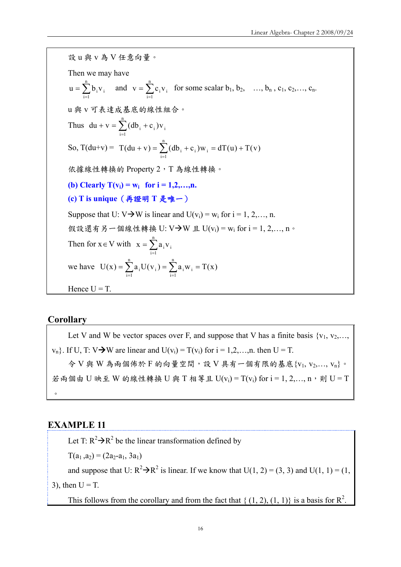設 u 與 v 為 V 任意向量。 Then we may have  $=\sum_{i=1}^n$  $u = \sum_{i=1}^{n} b_i v_i$  and  $v = \sum_{i=1}^{n}$  $i = 1$  $v = \sum c_i v_i$  for some scalar  $b_1, b_2, \dots, b_n, c_1, c_2, \dots, c_n$ . u 與 v 可表達成基底的線性組合。 Thus  $du + v = \sum_{i=1}^{n} (db_i +$  $i = 1$  $du + v = \sum (db_i + c_i)v_i$ So,  $T(du+v) = T(du + v) = \sum_{i=0}^{n} (db_i + c_i)w_i = dT(u) + T(v)$  $(v + v) = \sum_{i=1} (db_i + c_i) w_i = dT(u) +$ 依據線性轉換的 Property 2, T為線性轉換。 **(b)** Clearly  $T(v_i) = w_i$  for  $i = 1, 2, ..., n$ . **(c) T is unique**(再證明 **T** 是唯一) Suppose that U:  $V\rightarrow W$  is linear and U(v<sub>i</sub>) = w<sub>i</sub> for i = 1, 2,..., n. 假設還有另一個線性轉換 U: V→W 且 U(v<sub>i</sub>) = w<sub>i</sub> for i = 1, 2,..., n。 Then for  $x \in V$  with  $x = \sum_{i=1}^{n}$  $i = 1$  $\mathbf{x} = \sum a_i \mathbf{v}_i$ we have  $U(x) = \sum_{i=1}^{n} a_i U(v_i) = \sum_{i=1}^{n} a_i w_i = T(x)$  $i = 1$ i <sup>vv</sup> i n  $=\sum_{i=1} a_i U(v_i) = \sum_{i=1} a_i w_i =$ Hence  $U = T$ .

#### **Corollary**

Let V and W be vector spaces over F, and suppose that V has a finite basis  $\{v_1, v_2, \ldots, v_n\}$  $v_n$ . If U, T: V $\rightarrow$ W are linear and U( $v_i$ ) = T( $v_i$ ) for i = 1,2,...,n. then U = T. 令 V 與 W 為兩個佈於 F 的向量空間,設 V 具有一個有限的基底 $\{V_1, V_2, \ldots, V_n\}$ 。 若兩個由 U 映至 W 的線性轉換 U 與 T 相等且 U(v<sub>i</sub>) = T(v<sub>i</sub>) for i = 1, 2,..., n,則 U = T  $\circ$ 

#### **EXAMPLE 11**

Let T:  $R^2 \rightarrow R^2$  be the linear transformation defined by

 $T(a_1, a_2) = (2a_2-a_1, 3a_1)$ 

and suppose that U:  $R^2 \rightarrow R^2$  is linear. If we know that U(1, 2) = (3, 3) and U(1, 1) = (1,

3), then  $U = T$ .

This follows from the corollary and from the fact that {  $(1, 2)$ ,  $(1, 1)$ } is a basis for  $\mathbb{R}^2$ .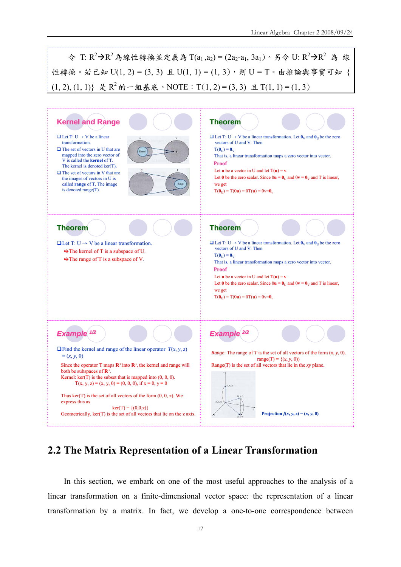令 T: R<sup>2</sup>→R<sup>2</sup>為線性轉換並定義為 T(a<sub>1</sub>,a<sub>2</sub>) = (2a<sub>2</sub>-a<sub>1</sub>, 3a<sub>1</sub>)。另令 U: R<sup>2</sup>→R<sup>2</sup> 為 線 性轉換。若已知  $U(1, 2) = (3, 3)$  且  $U(1, 1) = (1, 3)$ , 則  $U = T$ 。由推論與事實可知  $(1, 2), (1, 1)$ } 是 R<sup>2</sup> 的一组基底。NOTE: T(1, 2) = (3, 3) 且 T(1, 1) = (1, 3)



# **2.2 The Matrix Representation of a Linear Transformation**

In this section, we embark on one of the most useful approaches to the analysis of a linear transformation on a finite-dimensional vector space: the representation of a linear transformation by a matrix. In fact, we develop a one-to-one correspondence between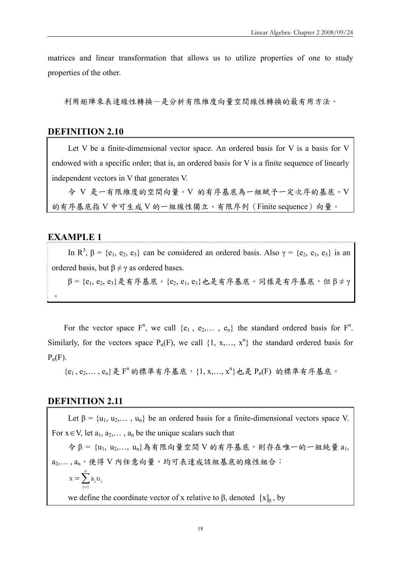matrices and linear transformation that allows us to utilize properties of one to study properties of the other.

利用矩陣來表達線性轉換-是分析有限維度向量空間線性轉換的最有用方法。

## **DEFINITION 2.10**

Let V be a finite-dimensional vector space. An ordered basis for V is a basis for V endowed with a specific order; that is, an ordered basis for V is a finite sequence of linearly independent vectors in V that generates V.

令 V 是一有限維度的空間向量。V 的有序基底為一組賦予一定次序的基底。V 的有序基底指 V 中可生成 V 的一組線性獨立、有限序列(Finite sequence)向量。

## **EXAMPLE 1**

In R<sup>3</sup>,  $\beta = \{e_1, e_2, e_3\}$  can be considered an ordered basis. Also  $\gamma = \{e_2, e_1, e_3\}$  is an ordered basis, but  $\beta \neq \gamma$  as ordered bases.  $\beta$  = {e<sub>1</sub>, e<sub>2</sub>, e<sub>3</sub>}是有序基底。{e<sub>2</sub>, e<sub>1</sub>, e<sub>3</sub>}也是有序基底。同樣是有序基底,但β≠γ

 $\circ$ 

For the vector space  $F^n$ , we call  $\{e_1, e_2, \dots, e_n\}$  the standard ordered basis for  $F^n$ . Similarly, for the vectors space  $P_n(F)$ , we call  $\{1, x, ..., x^n\}$  the standard ordered basis for  $P_n(F)$ .

 ${e_1, e_2,..., e_n}$ 是  $F^n$  的標準有序基底,  ${1, x,..., x^n}$ 也是  $P_n(F)$  的標準有序基底。

#### **DEFINITION 2.11**

Let  $\beta = \{u_1, u_2, \dots, u_n\}$  be an ordered basis for a finite-dimensional vectors space V. For  $x \in V$ , let  $a_1, a_2, \ldots, a_n$  be the unique scalars such that

 $\Theta$  = {u<sub>1</sub>, u<sub>2</sub>,..., u<sub>n</sub>}為有限向量空間 V 的有序基底,則存在唯一的一組純量 a<sub>1</sub>, a2,..., an, 使得 V 內任意向量,均可表達成該組基底的線性組合:

$$
x=\sum_{i=1}^n a_i u_i
$$

we define the coordinate vector of x relative to  $\beta$ , denoted  $[x]_R$ , by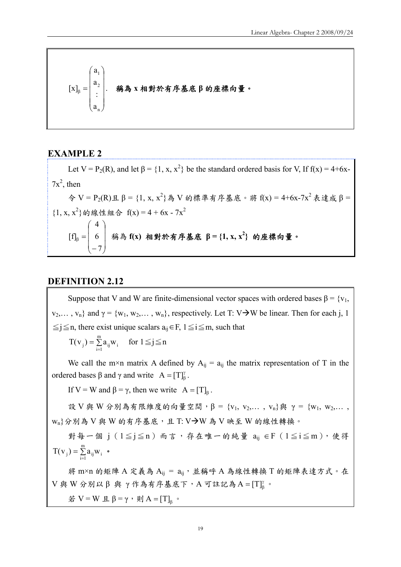$$
[x]_{\beta} = \begin{pmatrix} a_1 \\ a_2 \\ \vdots \\ a_n \end{pmatrix}.
$$
 稭為 x 相對於有在基^K日的座機向量。

## **EXAMPLE 2**

Let V = P<sub>2</sub>(R), and let  $\beta$  = {1, x, x<sup>2</sup>} be the standard ordered basis for V, If f(x) = 4+6x- $7x^2$ , then  $\hat{\varphi}$  V = P<sub>2</sub>(R)且 $\beta$  = {1, x, x<sup>2</sup>}為 V 的標準有序基底。將 f(x) = 4+6x-7x<sup>2</sup> 表達成 $\beta$  =  ${1, x, x^2}$ 的線性組合  $f(x) = 4 + 6x - 7x^2$  $\sqrt{2}$  $\overline{\phantom{a}}$  $\overline{\phantom{a}}$ ⎠ ⎞  $\overline{\phantom{a}}$  $\overline{a}$  $\mathsf I$ ⎝  $\big($ −  $[f]_8 =$ 7 6 4 [f]<sub>β</sub> = | 6 | 稱為 f(x) 相對於有序基底 β = {1, x, x<sup>2</sup>} 的座標向量。

#### **DEFINITION 2.12**

Suppose that V and W are finite-dimensional vector spaces with ordered bases  $\beta = \{v_1, v_2\}$  $v_2,..., v_n$ } and  $\gamma = \{w_1, w_2,..., w_n\}$ , respectively. Let T: V $\rightarrow$ W be linear. Then for each j, 1  $\le j \le n$ , there exist unique scalars  $a_{ij} \in F$ ,  $1 \le i \le m$ , such that

 $=$  $\sum_{i=1}$  $T(v_j) = \sum_{i=1}^{m} a_{ij} w_i$  for  $1 \le j \le n$ 

We call the m×n matrix A defined by  $A_{ii} = a_{ii}$  the matrix representation of T in the ordered bases β and γ and write  $A = [T]_8^{\gamma}$ .

If V = W and  $\beta = \gamma$ , then we write  $A = [T]_8$ .

設 V 與 W 分別為有限維度的向量空間, β = {v<sub>1</sub>, v<sub>2</sub>,..., v<sub>n</sub>}與 γ = {w<sub>1</sub>, w<sub>2</sub>,...,  $\{w_n\}$ 分別為  $V$ 與  $W$  的有序基底,且 T:  $V\rightarrow W$  為  $V$  映至  $W$  的線性轉換。

對每一個 j ( $1 ≤ j ≤ n$ )而言,存在唯一的純量  $a_{ij} ∈ F(1 ≤ i ≤ m)$ ,使得  $=$  $\sum_{i=1}$  $T(v_j) = \sum_{i=1}^{m} a_{ij} w_i$  .

將 m×n 的矩陣 A 定義為  $A_{ij} = a_{ij}$ , 並稱呼 A 為線性轉換 T 的矩陣表達方式。在  $V$ 與 W 分別以 $\beta$  與 γ 作為有序基底下, A 可註記為 A =  $[T]_{\beta}^{V}$ 。

若 V = W 且 β = γ, 則 A = [T]<sub>6</sub> 。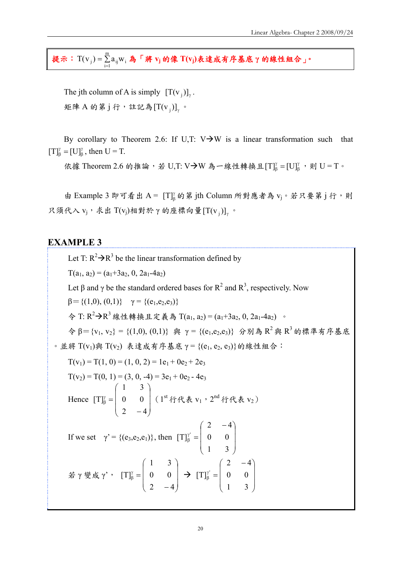提示: $T(v_j) = \sum_{i=1}^{n}$  $T({\bf v}_j)$  =  $\sum\limits_{\rm i=1}^{\rm m}a_{\rm ij} {\bf w}_i$  為「將  ${\bf v}_j$  的像  $T({\bf v}_j)$ 表達成有序基底 γ 的線性組合」。

The jth column of A is simply  $[T(v_i)]$ . 矩陣 A 的第 j 行, 註記為  $[T(v_i)]$  。

By corollary to Theorem 2.6: If U,T:  $V\rightarrow W$  is a linear transformation such that γ  $[T]_{\beta}^{\gamma} = [U]_{\beta}^{\gamma}$ , then  $U = T$ .

依據 Theorem 2.6 的推論,若 U,T: V→W 為一線性轉換且 $[T]_{\beta}^{\gamma} = [U]_{\beta}^{\gamma}$ , 則 U = T。

由 Example 3 即可看出 A = [T] 的第 jth Column 所對應者為 vj。若只要第 j 行,則 只須代入  $v_i$ , 求出 T( $v_i$ )相對於 γ 的座標向量 [T( $v_i$ )] 。

## **EXAMPLE 3**

Let T:  $R^2 \rightarrow R^3$  be the linear transformation defined by  $T(a_1, a_2) = (a_1 + 3a_2, 0, 2a_1 - 4a_2)$ Let  $\beta$  and  $\gamma$  be the standard ordered bases for  $R^2$  and  $R^3$ , respectively. Now  $\beta = \{(1,0), (0,1)\}$   $\gamma = \{(e_1, e_2, e_3)\}$ 令 T: R<sup>2</sup>→R<sup>3</sup> 線性轉換且定義為 T(a<sub>1</sub>, a<sub>2</sub>) = (a<sub>1</sub>+3a<sub>2</sub>, 0, 2a<sub>1</sub>-4a<sub>2</sub>) 。  $\hat{\varphi}$  β={v<sub>1</sub>, v<sub>2</sub>} = {(1,0), (0,1)} 與 γ = {(e<sub>1</sub>,e<sub>2</sub>,e<sub>3</sub>)} 分別為 R<sup>2</sup> 與 R<sup>3</sup> 的標準有序基底  $\cdot$  並將 T(v<sub>1</sub>)與 T(v<sub>2</sub>) 表達成有序基底 γ = {(e<sub>1</sub>, e<sub>2</sub>, e<sub>3</sub>)} 的線性組合:  $T(v_1) = T(1, 0) = (1, 0, 2) = 1e_1 + 0e_2 + 2e_3$  $T(v_2) = T(0, 1) = (3, 0, -4) = 3e_1 + 0e_2 - 4e_3$ Hence  $\sqrt{2}$  $\overline{\phantom{a}}$  $\overline{\phantom{a}}$ ⎠ ⎞  $\overline{ }$  $\overline{a}$  $\mathsf I$ ⎝  $\sqrt{}$ −  $\frac{\gamma}{\beta} =$ 2  $-4$ 0 0 1 3  $[T]_6^{\gamma}$  =  $\begin{bmatrix} 0 & 0 \end{bmatrix}$  (  $1^{\text{st}}$  行代表  $v_1$  ,  $2^{\text{nd}}$  行代表  $v_2$  ) If we set  $γ' = {(e_3,e_2,e_1)},$  then  $\overline{\phantom{a}}$  $\overline{\phantom{a}}$  $\overline{\phantom{a}}$ ⎠ ⎞  $\overline{ }$  $\overline{a}$  $\mathsf I$ ⎝  $(2 \begin{matrix} \gamma' \\ \beta \end{matrix}$  = 1 3 0 0  $2 - 4$  $[T]_{B}^{\gamma}$ 若 γ 變成 γ',  $\overline{\phantom{a}}$  $\overline{\phantom{a}}$  $\overline{\phantom{a}}$ ⎠  $\setminus$  $\overline{ }$  $\mathsf I$  $\mathsf I$ ⎝  $\big($ −  $<sup>γ</sup><sub>β</sub>$  =</sup> 2  $-4$ 0 0 1 3  $[T]_8^{\gamma} = \begin{bmatrix} 0 & 0 \end{bmatrix} \rightarrow$ ⎟ ⎟ ⎟ ⎠  $\setminus$  $\overline{ }$  $\mathsf I$  $\mathsf I$ ⎝  $(2 \begin{matrix} \gamma' \\ \beta \end{matrix} =$ 1 3 0 0  $2 - 4$  $[T]_{B}^{\gamma}$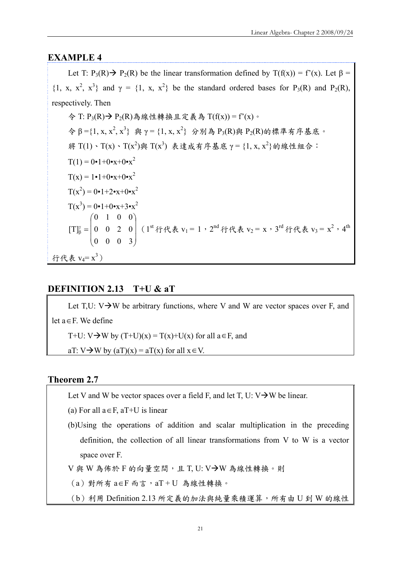## **EXAMPLE 4**

Let T:  $P_3(R) \rightarrow P_2(R)$  be the linear transformation defined by  $T(f(x)) = f'(x)$ . Let  $\beta =$ {1, x, x<sup>2</sup>, x<sup>3</sup>} and  $\gamma = \{1, x, x^2\}$  be the standard ordered bases for P<sub>3</sub>(R) and P<sub>2</sub>(R), respectively. Then

今 T: P3(R)→ P2(R)為線性轉換且定義為 T(f(x)) = f'(x)。  $\hat{\varphi}$  β = {1, x, x<sup>2</sup>,  $\hat{\mathbb{X}}$  = {1, x, x<sup>2</sup>} 分別為 P<sub>3</sub>(R)與 P<sub>2</sub>(R)的標準有序基底。 将 T(1)、T(x)、T(x<sup>2</sup>)與 T(x<sup>3</sup>) 表達成有序基底 γ = {1, x, x<sup>2</sup>} 的線性組合:  $T(1) = 0 \cdot 1 + 0 \cdot x + 0 \cdot x^2$  $T(x) = 1 \cdot 1 + 0 \cdot x + 0 \cdot x^2$  $T(x^2) = 0 \cdot 1 + 2 \cdot x + 0 \cdot x^2$  $T(x^3) = 0 \cdot 1 + 0 \cdot x + 3 \cdot x^2$  $\overline{\phantom{a}}$  $\overline{\phantom{a}}$  $\overline{\phantom{a}}$ ⎠ ⎞  $\overline{ }$  $\mathsf I$  $\mathsf I$ ⎝  $\big($  $\frac{\gamma}{\beta} =$ 0 0 0 3 0 0 2 0 0 1 0 0  $[T]_6^{\gamma} = 0 \quad 0 \quad 2 \quad 0$  | (1<sup>st</sup>行代表 v<sub>1</sub> = 1, 2<sup>nd</sup> 行代表 v<sub>2</sub> = x, 3<sup>rd</sup> 行代表 v<sub>3</sub> = x<sup>2</sup>, 4<sup>th</sup> 行代表  $v_4 = x^3$ )

## **DEFINITION 2.13 T+U & aT**

Let T,U:  $V\rightarrow W$  be arbitrary functions, where V and W are vector spaces over F, and let a∈F. We define

T+U: V $\rightarrow$ W by (T+U)(x) = T(x)+U(x) for all a  $\in$  F, and

aT: V $\rightarrow$ W by (aT)(x) = aT(x) for all  $x \in V$ .

## **Theorem 2.7**

Let V and W be vector spaces over a field F, and let T, U:  $V\rightarrow W$  be linear.

(a) For all  $a \in F$ ,  $aT+U$  is linear

(b)Using the operations of addition and scalar multiplication in the preceding definition, the collection of all linear transformations from V to W is a vector space over F.

 $V$ 與 W 為佈於 F 的向量空間,且 T, U: V->W 為線性轉換。則

 $(a)$  對所有  $a$ ∈F 而言,  $aT+U$  為線性轉換。

(b)利用 Definition 2.13 所定義的加法與純量乘積運算,所有由 U 到 W 的線性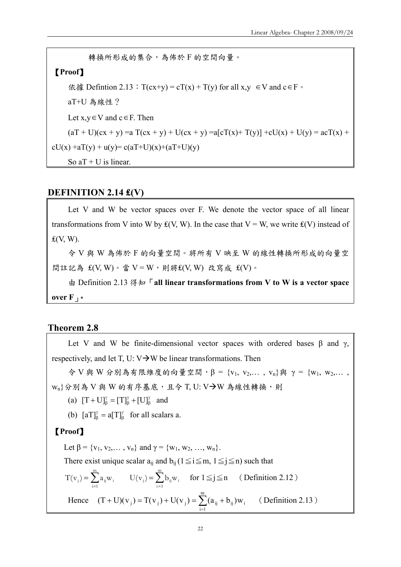轉換所形成的集合,為佈於 F 的空間向量。 【**Proof**】 依據 Defintion 2.13:T(cx+y) = cT(x) + T(y) for all x,y ∈V and c∈F。 aT+U 為線性? Let x,y∈V and c∈F. Then (aT + U)(cx + y) =a T(cx + y) + U(cx + y) =a[cT(x)+ T(y)] +cU(x) + U(y) = acT(x) + cU(x) +aT(y) + u(y)= c(aT+U)(x)+(aT+U)(y) So aT + U is linear.

#### **DEFINITION 2.14 ₤(V)**

Let V and W be vector spaces over F. We denote the vector space of all linear transformations from V into W by  $f(V, W)$ . In the case that V = W, we write  $f(V)$  instead of  $E(V, W)$ .

令 V 與 W 為佈於 F 的向量空間。將所有 V 映至 W 的線性轉換所形成的向量空 間註記為  $f(V, W) \cdot \dot{g} = V - W \cdot \dot{g} + f(V, W)$ 改寫成  $f(V) \cdot$ 

由 Definition 2.13 得知「**all linear transformations from V to W is a vector space over F**」。

## **Theorem 2.8**

Let V and W be finite-dimensional vector spaces with ordered bases  $\beta$  and  $\gamma$ , respectively, and let T, U:  $V\rightarrow W$  be linear transformations. Then

令 V 與 W 分別為有限維度的向量空間,β = {v1, v2,… , vn}與 γ = {w1, w2,… ,  $w_n$ }分別為 V與 W 的有序基底,且令 T, U: V $\rightarrow$ W 為線性轉換,則

(a)  $[T + U]_{\beta}^{\gamma} = [T]_{\beta}^{\gamma} + [U]_{\beta}^{\gamma}$ γ  $[T+U]_{\beta}^{\gamma} = [T]_{\beta}^{\gamma} + [U]_{\beta}^{\gamma}$  and

(b)  $[aT]_{\beta}^{\gamma} = a[T]_{\beta}^{\gamma}$  for all scalars a.

## 【**Proof**】

Let  $\beta = \{v_1, v_2, \dots, v_n\}$  and  $\gamma = \{w_1, w_2, \dots, w_n\}$ .

There exist unique scalar  $a_{ii}$  and  $b_{ii}$  ( $1 \le i \le m$ ,  $1 \le j \le n$ ) such that

$$
T(v_i) = \sum_{i=1}^{m} a_{ij} w_i \qquad U(v_i) = \sum_{i=1}^{m} b_{ij} w_i \quad \text{ for } 1 \le j \le n \quad (Definition 2.12)
$$

Hence  $(T + U)(v_j) = T(v_j) + U(v_j) = \sum_{i=1}^{\infty} (a_{ij} + b_{ij})$ m  $i = 1$  $(T + U)(v_j) = T(v_j) + U(v_j) = \sum (a_{ij} + b_{ij}) w_i$  (Definition 2.13)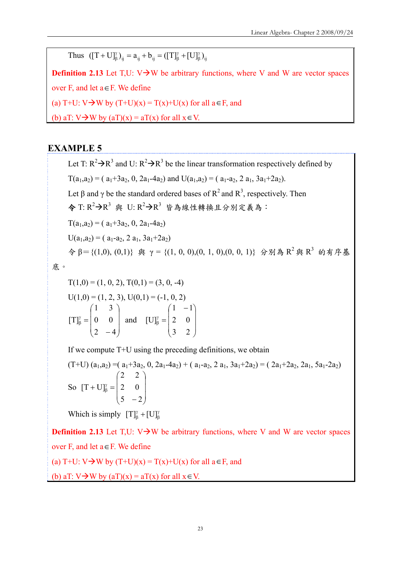Thus  $([T + U]_{\beta}^{\gamma})_{ij} = a_{ij} + b_{ij} = ([T]_{\beta}^{\gamma} + [U]_{\beta}^{\gamma})_{ij}$ β γ  ${\rm (FU]}_{\beta}^{\gamma}$ <sub>ij</sub> =  $a_{ij}$  +  $b_{ij}$  = ([T] $_{\beta}^{\gamma}$  +

**Definition 2.13** Let  $T,U: V\rightarrow W$  be arbitrary functions, where V and W are vector spaces over F, and let a∈F. We define (a) T+U:  $V \rightarrow W$  by  $(T+U)(x) = T(x)+U(x)$  for all  $a \in F$ , and (b) aT:  $V \rightarrow W$  by (aT)(x) = aT(x) for all  $x \in V$ .

## **EXAMPLE 5**

Let T:  $R^2 \rightarrow R^3$  and U:  $R^2 \rightarrow R^3$  be the linear transformation respectively defined by  $T(a_1, a_2) = (a_1 + 3a_2, 0, 2a_1 - 4a_2)$  and  $U(a_1, a_2) = (a_1 - a_2, 2 a_1, 3a_1 + 2a_2).$ Let  $\beta$  and  $\gamma$  be the standard ordered bases of  $R^2$  and  $R^3$ , respectively. Then 令 T:  $R^2$ → $R^3$  與 U:  $R^2$ → $R^3$  皆為線性轉換且分別定義為:  $T(a_1, a_2) = (a_1 + 3a_2, 0, 2a_1 - 4a_2)$  $U(a_1, a_2) = (a_1-a_2, 2 a_1, 3a_1+2a_2)$  $\hat{\varphi}$  β = {(1,0), (0,1)} 與 γ = {(1, 0, 0),(0, 1, 0),(0, 0, 1)} 分別為 R<sup>2</sup> 與 R<sup>3</sup> 的有序基

底。

 $T(1,0) = (1, 0, 2), T(0,1) = (3, 0, -4)$  $U(1,0) = (1, 2, 3), U(0,1) = (-1, 0, 2)$  $\overline{\phantom{a}}$  $\overline{\phantom{a}}$  $\overline{\phantom{a}}$ ⎠ ⎞  $\overline{ }$  $\overline{\phantom{a}}$  $\mathsf I$ ⎝  $\big($ −  $\frac{\gamma}{\beta} =$ 2  $-4$ 0 0 1 3  $[T]_8^{\gamma} = | 0 \ 0 |$  and  $\overline{\phantom{a}}$  $\overline{\phantom{a}}$  $\overline{\phantom{a}}$ ⎠  $\setminus$  $\overline{ }$  $\overline{a}$  $\overline{a}$ ⎝  $(1 \frac{\gamma}{\beta} =$ 3 2 2 0  $1 - 1$ [U]

If we compute T+U using the preceding definitions, we obtain

$$
(T+U) (a1, a2) = (a1+3a2, 0, 2a1-4a2) + (a1-a2, 2a1, 3a1+2a2) = (2a1+2a2, 2a1, 5a1-2a2)
$$
  
So  $[T + U]_B^{\gamma} = \begin{pmatrix} 2 & 2 \ 2 & 0 \ 5 & -2 \end{pmatrix}$ 

Which is simply  $[T]_{\beta}^{\gamma} + [U]_{\beta}^{\gamma}$ 

**Definition 2.13** Let T,U:  $V \rightarrow W$  be arbitrary functions, where V and W are vector spaces over F, and let a∈F. We define

(a) T+U:  $V \rightarrow W$  by  $(T+U)(x) = T(x)+U(x)$  for all  $a \in F$ , and

(b) aT:  $V\rightarrow W$  by (aT)(x) = aT(x) for all  $x \in V$ .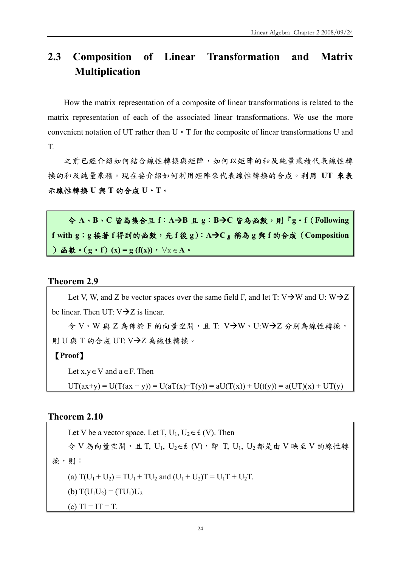# **2.3 Composition of Linear Transformation and Matrix Multiplication**

How the matrix representation of a composite of linear transformations is related to the matrix representation of each of the associated linear transformations. We use the more convenient notation of UT rather than  $U \cdot T$  for the composite of linear transformations U and T.

之前已經介紹如何結合線性轉換與矩陣,如何以矩陣的和及純量乘積代表線性轉 換的和及純量乘積。現在要介紹如何利用矩陣來代表線性轉換的合成。利用 **UT** 來表 示線性轉換 **U** 與 **T** 的合成 **U**‧**T**。

令 **A**、**B**、**C** 皆為集合且 **f**:**A**Æ**B** 且 **g**:**B**Æ**C** 皆為函數,則『**g**‧**f**(**Following f with g**;**g** 接著 **f** 得到的函數,先 **f** 後 **g**):**A**Æ**C**』稱為 **g** 與 **f** 的合成(**Composition** )函數。(**g**‧**f**)**(x) = g (f(x))**,∀x ∈**A**。

#### **Theorem 2.9**

Let V, W, and Z be vector spaces over the same field F, and let T:  $V\rightarrow W$  and U:  $W\rightarrow Z$ be linear. Then UT:  $V\rightarrow Z$  is linear.

 $\frac{1}{2}$  V、W 與 Z 為佈於 F 的向量空間,且 T: V $\rightarrow$ W、U:W $\rightarrow$ Z 分別為線性轉換, 則 U 與 T 的合成 UT: V→Z 為線性轉換。

## 【**Proof**】

Let  $x, y \in V$  and  $a \in F$ . Then

 $UT(ax+y) = U(T(ax + y)) = U(aT(x)+T(y)) = aU(T(x)) + U(t(y)) = a(UT)(x) + UT(y)$ 

## **Theorem 2.10**

Let V be a vector space. Let T,  $U_1$ ,  $U_2 \in \mathcal{L}(V)$ . Then 令 V 為向量空間,且 T, U1, U2∈₤ (V),即 T, U1, U2 都是由 V 映至 V 的線性轉 換,則: (a)  $T(U_1 + U_2) = TU_1 + TU_2$  and  $(U_1 + U_2)T = U_1T + U_2T$ . (b)  $T(U_1U_2) = (TU_1)U_2$ (c)  $TI = IT = T$ .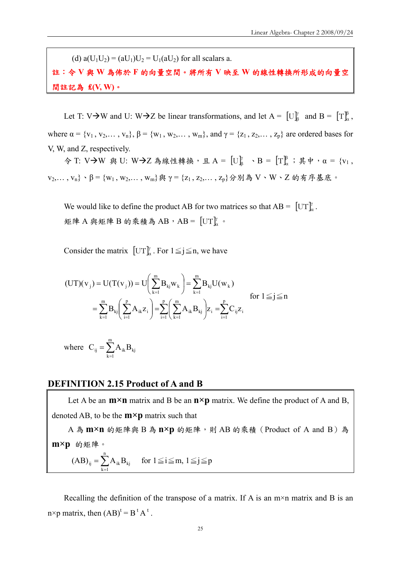(d)  $a(U_1U_2) = (aU_1)U_2 = U_1(aU_2)$  for all scalars a.

註:令 **V** 與 **W** 為佈於 **F** 的向量空間。將所有 **V** 映至 **W** 的線性轉換所形成的向量空 間註記為 **₤(V, W)**。

Let T: V $\rightarrow$ W and U: W $\rightarrow$ Z be linear transformations, and let A =  $\left[\begin{smallmatrix}U\end{smallmatrix}\right]_A^{\gamma}$  and B =  $\left[\begin{smallmatrix}T\end{smallmatrix}\right]_A^{\beta}$ , where  $\alpha = \{v_1, v_2, \dots, v_n\}, \beta = \{w_1, w_2, \dots, w_m\},$  and  $\gamma = \{z_1, z_2, \dots, z_p\}$  are ordered bases for V, W, and Z, respectively.

令 T: V→W 與 U: W→Z 為線性轉換, 且 A =  $[U]_{\beta}^{\gamma}$  , B =  $[T]_{\alpha}^{\beta}$ ; 其中, α = {v<sub>1</sub>,  $v_2, \ldots, v_n \}$ 、β = {w<sub>1</sub>, w<sub>2</sub>,..., w<sub>m</sub>}與 γ = {z<sub>1</sub>, z<sub>2</sub>,..., z<sub>p</sub>}分別為 V、W、Z 的有序基底。

We would like to define the product AB for two matrices so that  $AB = [\text{UT}]_a^b$ . 矩陣 A 與矩陣 B 的乘積為 AB, AB =  $[\text{UT}]^\gamma_\alpha$ 。

Consider the matrix  $[\text{UT}]_{\alpha}^{\gamma}$ . For  $1 \leq j \leq n$ , we have

$$
\begin{aligned} (UT)(v_j) &= U(T(v_j)) = U\bigg(\sum_{k=1}^m B_{kj} w_k\bigg) = \sum_{k=1}^m B_{kj} U(w_k) \\ &= \sum_{k=1}^m B_{kj} \bigg(\sum_{i=1}^p A_{ik} z_i\bigg) = \sum_{i=1}^p \bigg(\sum_{k=1}^m A_{ik} B_{kj}\bigg) z_i = \sum_{i=1}^p C_{ij} z_i \end{aligned} \quad \text{for } 1 \leq j \leq n
$$

where  $C_{ij} = \sum_{k=1}^{m}$  $k = 1$  $C_{ij} = \sum A_{ik}B_{kj}$ 

#### **DEFINITION 2.15 Product of A and B**

Let A be an  $m \times n$  matrix and B be an  $n \times p$  matrix. We define the product of A and B, denoted AB, to be the **m×p** matrix such that

A 為 **m×n** 的矩陣與 B 為 **n×p** 的矩陣,則 AB 的乘積(Product of A and B)為 **m×p** 的矩陣。

$$
(AB)_{ij} = \sum_{k=1}^{n} A_{ik} B_{kj} \quad \text{ for } 1 \leq i \leq m, 1 \leq j \leq p
$$

Recalling the definition of the transpose of a matrix. If A is an  $m \times n$  matrix and B is an n×p matrix, then  $(AB)^t = B^t A^t$ .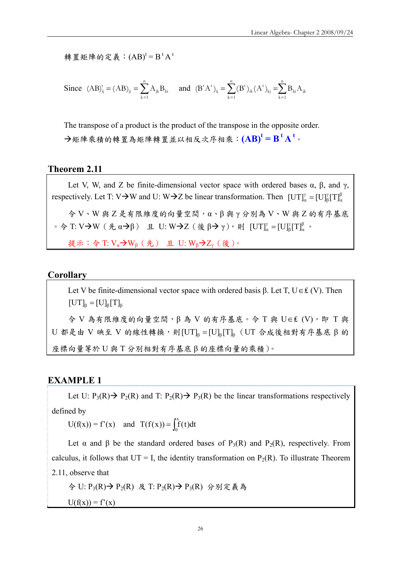轉置矩陣的定義: $(AB)^t = B^t A^t$ 

Since 
$$
(AB)_{ij}^t = (AB)_{ji} = \sum_{k=1}^n A_{jk}B_{ki}
$$
 and  $(B^tA^t)_{ij} = \sum_{k=1}^n (B^t)_{ik}(A^t)_{kj} = \sum_{k=1}^n B_{ki}A_{jk}$ 

The transpose of a product is the product of the transpose in the opposite order. Æ矩陣乘積的轉置為矩陣轉置並以相反次序相乘:**(AB)<sup>t</sup> = B t A t** 。

#### **Theorem 2.11**

Let V, W, and Z be finite-dimensional vector space with ordered bases  $\alpha$ ,  $\beta$ , and  $\gamma$ , respectively. Let T: V $\rightarrow$ W and U: W $\rightarrow$ Z be linear transformation. Then  $\text{[UT]}_{\alpha}^{\gamma} = \text{[U]}_{\beta}^{\gamma} \text{[T]}_{\alpha}^{\beta}$ γ  $\left[\mathrm{UT}\right]_{\alpha}^{\gamma}=\left[\mathrm{U}\right]_{\beta}^{\gamma}\left[\mathrm{T}\right]$  $\Diamond$  V、W 與 Z 是有限維度的向量空間,α、β 與 γ 分別為 V、W 與 Z 的有序基底  $\cdot$  令 T: V→W (先 α→β) 且 U: W→Z (後 β→ γ), 則 [UT]"<sub>α</sub> = [U]"<sub>β</sub>[T]<sup>β</sup><sub>α</sub> γ  $\left[\mathrm{UT}\right]_{\alpha}^{\gamma} = \left[\mathrm{U}\right]_{\beta}^{\gamma} \left[\mathrm{T}\right]_{\alpha}^{\beta}$  . 提示: 令 T:  $V_\alpha$ → $W_\beta$  (先) 且 U:  $W_\beta$ → $Z_\gamma$  (後)。

#### **Corollary**

Let V be finite-dimensional vector space with ordered basis β. Let T,  $U \in \mathcal{L}(V)$ . Then  $[UT]_8 = [U]_8 [T]_8$ 令 V 為有限維度的向量空間,β 為 V 的有序基底。令 T 與 U∈₤ (V),即 T 與 U 都是由 V 映至 V 的線性轉換,則 $[UT]_6 = [U]_6[T]_6$  (UT 合成後相對有序基底 β 的 座標向量等於 U 與 T 分別相對有序基底 β 的座標向量的乘積)。

## **EXAMPLE 1**

Let U:  $P_3(R) \rightarrow P_2(R)$  and T:  $P_2(R) \rightarrow P_3(R)$  be the linear transformations respectively defined by

 $U(f(x)) = f'(x)$  and  $T(f(x)) = \int_0^x f(t) dt$ 

Let  $\alpha$  and  $\beta$  be the standard ordered bases of P<sub>3</sub>(R) and P<sub>2</sub>(R), respectively. From calculus, it follows that  $UT = I$ , the identity transformation on  $P_2(R)$ . To illustrate Theorem 2.11, observe that

令 U: P<sub>3</sub>(R) → P<sub>2</sub>(R) 及 T: P<sub>2</sub>(R) → P<sub>3</sub>(R) 分別定義為

 $U(f(x)) = f'(x)$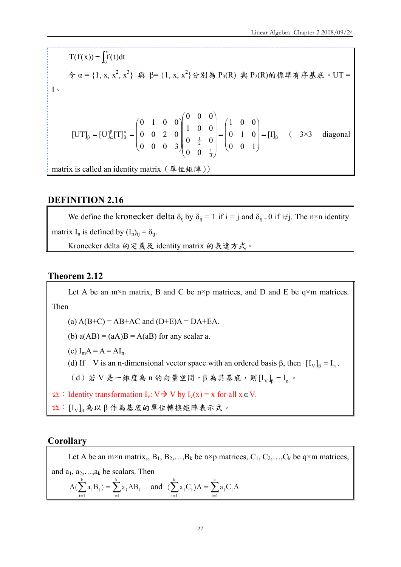$T(f(x)) = \int_0^x f(t)dt$  $\hat{\varphi}$  α = {1, x, x<sup>2</sup>, x<sup>3</sup>} 與 β = {1, x, x<sup>2</sup>} 分別為 P<sub>3</sub>(R) 與 P<sub>2</sub>(R)的標準有序基底。UT = I。 β α β  $\beta_{\beta} = [U]_{\alpha}^{\beta} [T]_{\beta}^{\alpha} = |0 \quad 0 \quad 2 \quad 0 \parallel \frac{1}{\alpha} \cup \frac{0}{\alpha} = |0 \quad 1 \quad 0 =$ ⎟ ⎟ ⎟ ⎠ ⎞  $\overline{ }$  $\overline{a}$  $\mathsf I$ ⎝  $\sqrt{2}$ =  $\overline{\phantom{a}}$  $\overline{\phantom{a}}$  $\overline{\phantom{a}}$  $\overline{\phantom{a}}$ ⎠  $\setminus$  $\parallel$  $\parallel$  $\parallel$  $\mathsf I$ ⎝  $\big($  $\overline{\phantom{a}}$ ⎟ ⎟ ⎠ ⎞  $\overline{a}$  $\overline{a}$  $\mathsf I$ ⎝  $\sqrt{}$  $= [U]_{\alpha}^{\beta}[T]_{\beta}^{\alpha} = |0 \quad 0 \quad 2 \quad 0 \parallel \left[ \begin{array}{cc} 0 & 0 & 0 \\ 0 & 1 & 0 \end{array} \right] = |0 \quad 1 \quad 0 | = [1]$ 0 0 1 0 1 0 1 0 0 0 0  $0 \frac{1}{2} 0$ 1 0 0 0 0 0 0 0 0 3 0 0 2 0 0 1 0 0  $[\text{UT}]_{\scriptscriptstyle \text{R}} = [\text{U}]_{\scriptscriptstyle \alpha}^{\scriptscriptstyle \beta}[\text{T}]$ 3 1  $\begin{bmatrix} 2 & 0 \\ \frac{1}{2} & 0 \end{bmatrix} = \begin{bmatrix} 0 & 1 & 0 \\ 0 & 0 & 1 \end{bmatrix} = \begin{bmatrix} I \end{bmatrix}_{\beta}$  ( 3×3 diagonal matrix is called an identity matrix (單位矩陣))

## **DEFINITION 2.16**

We define the kronecker delta  $\delta_{ij}$  by  $\delta_{ij} = 1$  if  $i = j$  and  $\delta_{ij} = 0$  if  $i \neq j$ . The n×n identity matrix I<sub>n</sub> is defined by  $(I_n)_{ii} = \delta_{ii}$ . Kronecker delta 的定義及 identity matrix 的表達方式。

#### **Theorem 2.12**

Let A be an m×n matrix, B and C be n×p matrices, and D and E be  $q \times m$  matrices. Then (a)  $A(B+C) = AB+AC$  and  $(D+E)A = DA+EA$ . (b)  $a(AB) = (aA)B = A(aB)$  for any scalar a. (c)  $I_m A = A = AI_n$ . (d) If V is an n-dimensional vector space with an ordered basis  $\beta$ , then  $[I_{V}]_{\beta} = I_{n}$ . (d)若 V 是一維度為 n 的向量空間, β 為其基底, 則  $[I_V]_\beta = I_n$ 。  $\forall x$ : Identity transformation I<sub>v</sub>: V→ V by I<sub>v</sub>(x) = x for all x  $\in$  V. 註: [I<sub>V</sub>] 為以β作為基底的單位轉換矩陣表示式。

## **Corollary**

Let A be an m×n matrix,,  $B_1, B_2,...,B_k$  be n×p matrices,  $C_1, C_2,...,C_k$  be q×m matrices, and  $a_1, a_2, \ldots, a_k$  be scalars. Then  $\sum_{i=1}^{k} a_i B_i$ ) =  $\sum_{i=1}^{k}$  $i = 1$  $i^{\perp}$ k  $i = 1$  $A(\sum_{i=1}^{k} a_i B_i) = \sum_{i=1}^{k} a_i AB_i$  and  $(\sum_{i=1}^{k} a_i C_i)A = \sum_{i=1}^{k} a_i B_i$  $i = 1$  $\sum_i$ k  $i = 1$  $(\sum a_i C_i) A = \sum a_i C_i A$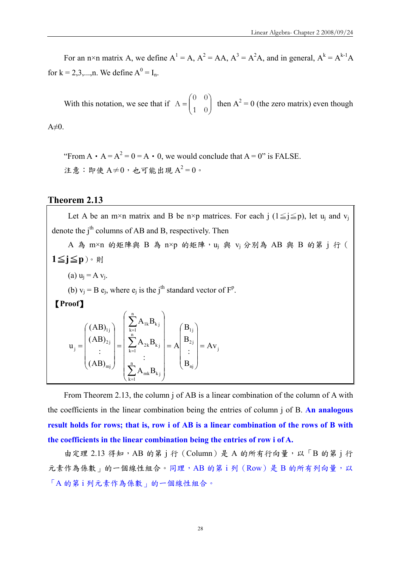For an n×n matrix A, we define  $A^1 = A$ ,  $A^2 = AA$ ,  $A^3 = A^2A$ , and in general,  $A^k = A^{k-1}A$ for k = 2,3,...,n. We define  $A^0 = I_n$ .

With this notation, we see that if  $A = \begin{bmatrix} 1 & 0 \\ 0 & 1 \end{bmatrix}$ ⎠ ⎞  $\parallel$  $A = \begin{pmatrix} 0 & 0 \\ 1 & 0 \end{pmatrix}$  then  $A^2 = 0$  (the zero matrix) even though  $A\neq 0$ .

"From  $A \cdot A = A^2 = 0 = A \cdot 0$ , we would conclude that  $A = 0$ " is FALSE. 注意: 即使  $A\neq 0$ , 也可能出現  $A^2=0$ 。

#### **Theorem 2.13**

Let A be an m×n matrix and B be n×p matrices. For each j ( $1 \le j \le p$ ), let u<sub>i</sub> and v<sub>i</sub> denote the  $i<sup>th</sup>$  columns of AB and B, respectively. Then

A 為 m×n 的矩陣與 B 為 n×p 的矩陣, u<sub>j</sub> 與 v<sub>j</sub> 分別為 AB 與 B 的第 j 行 ( 1≦j≦p)。則 (a)  $u_i = A v_i$ . (b)  $v_j = B e_j$ , where  $e_j$  is the j<sup>th</sup> standard vector of  $F^p$ . 【**Proof**】 j 2 j 1j n n  $k = 1$ 2k $\mathbf{v}_{\mathbf{k} \, \mathbf{j}}$ n  $k = 1$  $1k$ <sup> $\mathbf{v}_{kj}$ </sup> 2 j 1j  $\begin{bmatrix} \mathbf{j} = \end{bmatrix}$   $\begin{bmatrix} \mathbf{k} \end{bmatrix}$   $\begin{bmatrix} \mathbf{k} \end{bmatrix} = \begin{bmatrix} \sum_{k=1}^{N} A_{2k} \mathbf{D}_{kj} \end{bmatrix} = \mathbf{A} \begin{bmatrix} \mathbf{k} \end{bmatrix}$   $\begin{bmatrix} \mathbf{k} \end{bmatrix} = \mathbf{A} \mathbf{v}$ B : B B A :  $A_{2k}B$  $A_{1k}B$ (AB) : (AB) (AB)  $u_i = \begin{vmatrix} 1 & -2 & 1 \\ 1 & -1 & -2 \end{vmatrix} = \frac{1}{2} \sum_{i=1}^{N} A_{2k} B_{kj} = A \begin{vmatrix} 1 & -2 & 1 \\ 1 & -2 & 1 \end{vmatrix} =$  $\overline{\phantom{a}}$ ⎟ ⎟ ⎟  $\setminus$  $\overline{\phantom{a}}$  $\mathsf I$  $\mathsf I$  $\mathsf I$  $\big($ =  $\overline{\phantom{a}}$  $\overline{\phantom{a}}$  $\overline{\phantom{a}}$  $\overline{\phantom{a}}$  $\overline{\phantom{a}}$  $\overline{\phantom{a}}$ ⎞  $\overline{a}$  $\overline{a}$  $\overline{a}$  $\overline{a}$  $\overline{a}$  $\mathsf I$  $\big($ =  $\vert$  $\overline{\phantom{a}}$  $\overline{\phantom{a}}$  $\overline{\phantom{a}}$  $\setminus$  $\parallel$  $\overline{a}$  $\overline{a}$  $\mathsf I$  $\big($ = ∑ ∑ = =

From Theorem 2.13, the column j of AB is a linear combination of the column of A with the coefficients in the linear combination being the entries of column j of B. **An analogous result holds for rows; that is, row i of AB is a linear combination of the rows of B with the coefficients in the linear combination being the entries of row i of A.** 

nj

⎝

⎠

 $k = 1$ 

=

∑

 $\parallel$ 

⎝

mj

⎝

⎠

 $mk$ <sup>D</sup>k j

 $\overline{\phantom{a}}$ 

⎠

 $A_{mk}B$ 

由定理 2.13 得知,AB 的第 j 行 (Column)是 A 的所有行向量,以「B 的第 j 行 元素作為係數」的一個線性組合。同理,AB 的第1列 (Row)是 B 的所有列向量,以 「A 的第 i 列元素作為係數」的一個線性組合。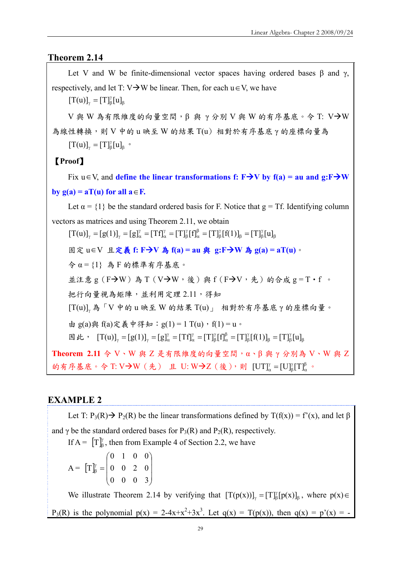## **Theorem 2.14**

Let V and W be finite-dimensional vector spaces having ordered bases  $\beta$  and  $\gamma$ , respectively, and let T:  $V\rightarrow W$  be linear. Then, for each  $u \in V$ , we have β  $[T(u)]_{\gamma} = [T]_{\beta}^{\gamma}[u]$ V 與 W 為有限維度的向量空間,  $\beta$  與 γ 分別 V 與 W 的有序基底。今 T: V $\rightarrow$ W 為線性轉換,則 V 中的 u 映至 W 的結果 T(u) 相對於有序基底 γ 的座標向量為 β  $[T(u)]_{\gamma} = [T]_{\beta}^{\gamma} [u]_{\beta}$  . 【**Proof**】 Fix  $u \in V$ , and **define the linear transformations f:** F  $\rightarrow$ V by f(a) = au and g:F  $\rightarrow$ W **by g(a) = aT(u) for all**  $a \in F$ **.** Let  $\alpha = \{1\}$  be the standard ordered basis for F. Notice that  $g = Tf$ . Identifying column vectors as matrices and using Theorem 2.11, we obtain β γ  $β = Γ<sub>1</sub>$ ]β γ β β α γ β γ  $[T(u)]_{\gamma} = [g(1)]_{\gamma} = [g]_{\alpha}^{\gamma} = [Tf]_{\alpha}^{\gamma} = [T]_{\beta}^{\gamma} [f]_{\alpha}^{\beta} = [T]_{\beta}^{\gamma} [f(1)]_{\beta} = [T]_{\beta}^{\gamma} [u]$ 固定 u∈V 且定義 **f: F**Æ**V** 為 **f(a) = au** 與 **g:F**Æ**W** 為 **g(a) = aT(u)**。 令 α = {1} 為 F 的標準有序基底。 並注意 g (F->W) 為 T (V->W,後) 與 f (F->V,先) 的合成 g = T · f 。 把行向量視為矩陣,並利用定理 2.11,得知 <sup>γ</sup> [T(u)] 為「V 中的 u 映至 W 的結果 T(u)」 相對於有序基底 γ 的座標向量。 由 g(a)與 f(a)定義中得知: g(1) = 1 T(u), f(1) = u。  $\mathbb{E}$  此,  $[T(u)]_{\gamma} = [g(1)]_{\gamma} = [g]_{\alpha}^{\gamma} = [Tf]_{\alpha}^{\gamma} = [T]_{\beta}^{\gamma} [f]_{\alpha}^{\beta} = [T]_{\beta}^{\gamma} [f(1)]_{\beta} = [T]_{\beta}^{\gamma} [u]_{\beta}$  $β - Γ$ ι]β γ β β α γ β γ  $[T(u)]_{\gamma} = [g(1)]_{\gamma} = [g]_{\alpha}^{\gamma} = [Tf]_{\alpha}^{\gamma} = [T]_{\beta}^{\gamma} [f]_{\alpha}^{\beta} = [T]_{\beta}^{\gamma} [f(1)]_{\beta} = [T]_{\beta}^{\gamma} [u]$ Theorem 2.11 令 V、W 與 Z 是有限維度的向量空間,α、β 與 γ 分別為 V、W 與 Z 的有序基底。令 T: V→W (先) 且 U: W→Z (後), 則 [UT] $^{\gamma}_{\alpha} = [U]_{\beta}^{\gamma}[T]_{\alpha}^{\beta}$ γ  $\left[\mathrm{UT}\right]_{\alpha}^{\gamma} = \left[\mathrm{U}\right]_{\beta}^{\gamma} \left[\mathrm{T}\right]_{\alpha}^{\beta}$  .

## **EXAMPLE 2**

Let T:  $P_3(R) \rightarrow P_2(R)$  be the linear transformations defined by T(f(x)) = f'(x), and let  $\beta$ and  $\gamma$  be the standard ordered bases for P<sub>3</sub>(R) and P<sub>2</sub>(R), respectively. If  $A = [\Gamma]_6^{\gamma}$ , then from Example 4 of Section 2.2, we have  $A = |T|$  $\overline{\phantom{a}}$  $\overline{\phantom{a}}$  $\overline{\phantom{a}}$ ⎠ ⎞  $\overline{a}$  $\overline{a}$  $\mathsf{L}$ ⎝  $\big($  $\frac{\gamma}{\beta} =$ 0 0 0 3 0 0 2 0 0 1 0 0 T We illustrate Theorem 2.14 by verifying that  $[T(p(x))]$ <sub>y</sub> =  $[T]$ <sub>β</sub> $[p(x)]$ <sub>β</sub>, where  $p(x) \in$  $P_3(R)$  is the polynomial  $p(x) = 2-4x+x^2+3x^3$ . Let  $q(x) = T(p(x))$ , then  $q(x) = p'(x) = -$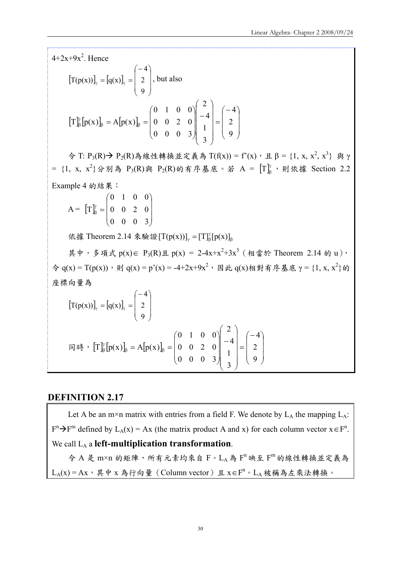$4+2x+9x^2$ . Hence

$$
[T(p(x))]_{\gamma} = [q(x)]_{\gamma} = \begin{pmatrix} -4 \\ 2 \\ 9 \end{pmatrix}, \text{ but also}
$$

$$
[T]_{\beta}^{\gamma} [p(x)]_{\beta} = A[p(x)]_{\beta} = \begin{pmatrix} 0 & 1 & 0 & 0 \\ 0 & 0 & 2 & 0 \\ 0 & 0 & 0 & 3 \end{pmatrix} \begin{pmatrix} 2 \\ -4 \\ 1 \\ 3 \end{pmatrix} = \begin{pmatrix} -4 \\ 2 \\ 9 \end{pmatrix}
$$

 $\hat{\varphi}$  T: P<sub>3</sub>(R) → P<sub>2</sub>(R)為線性轉換並定義為 T(f(x)) = f'(x), 且 β = {1, x, x<sup>2</sup>, x<sup>3</sup>} 與 γ  $= \{1, x, x^2\}$ 分別為  $P_3(R)$ 與  $P_2(R)$ 的有序基底。若  $A = [T]_B^{\gamma}$ ,則依據 Section 2.2 Example 4 的結果:

 $A = |T|$  $\overline{\phantom{a}}$  $\overline{\phantom{a}}$  $\overline{\phantom{a}}$ ⎠ ⎞  $\overline{a}$  $\overline{a}$  $\mathsf I$ ⎝  $\big($  $\frac{\gamma}{\beta}$  = 0 0 0 3 0 0 2 0 0 1 0 0 T

依據 Theorem 2.14 來驗證  $[T(p(x))]$ <sub>γ</sub> =  $[T]$ <sup>γ</sup><sub>β</sub>[p(x)]<sub>β</sub>

其中,多項式 p(x)∈ P<sub>3</sub>(R)且 p(x) = 2-4x+x<sup>2</sup>+3x<sup>3</sup> (相當於 Theorem 2.14 的 u),  $\hat{\varphi}$  q(x) = T(p(x)), 則 q(x) = p'(x) = -4+2x+9x<sup>2</sup>, 因此 q(x)相對有序基底 γ = {1, x, x<sup>2</sup>}的 座標向量為

$$
\big[\mathrm{T}(p(x))\big]_{\gamma} = \big[q(x)\big]_{\gamma} = \begin{pmatrix} -4 \\ 2 \\ 9 \end{pmatrix}
$$

$$
\begin{aligned}\n\text{[} \mathbb{F} \text{[} \mathbb{F} \text{[} \mathbb{F} \text{[} \mathbb{P}(\text{x}) \text{]}_{\beta} = A[\text{p}(\text{x}) \text{]}_{\beta} = \begin{pmatrix} 0 & 1 & 0 & 0 \\ 0 & 0 & 2 & 0 \\ 0 & 0 & 0 & 3 \end{pmatrix} \begin{pmatrix} 2 \\ -4 \\ 1 \\ 3 \end{pmatrix} = \begin{pmatrix} -4 \\ 2 \\ 9 \end{pmatrix}\n\end{aligned}
$$

## **DEFINITION 2.17**

Let A be an m×n matrix with entries from a field F. We denote by  $L_A$  the mapping  $L_A$ :  $F^{n} \rightarrow F^{m}$  defined by  $L_{A}(x) = Ax$  (the matrix product A and x) for each column vector  $x \in F^{n}$ . We call LA a **left-multiplication transformation**.  $\hat{\varphi}$  A 是 m×n 的矩陣,所有元素均來自 F。LA為 F"映至 F"的線性轉換並定義為

 $L_A(x)$  = Ax, 其中 x 為行向量 (Column vector) 且 x∈F<sup>n</sup>。L<sub>A</sub> 被稱為左乘法轉換。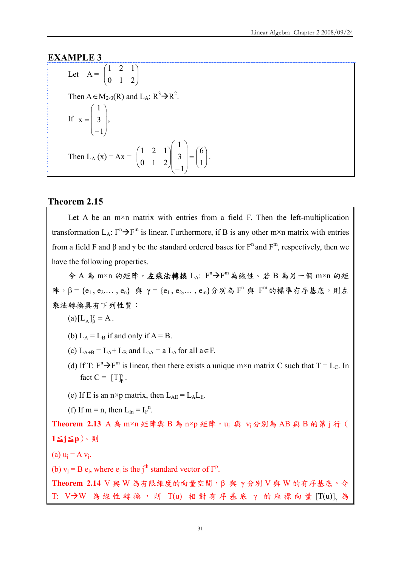### **EXAMPLE 3**

Let 
$$
A = \begin{pmatrix} 1 & 2 & 1 \\ 0 & 1 & 2 \end{pmatrix}
$$
  
\nThen  $A \in M_{2\times 3}(R)$  and  $L_A: R^3 \rightarrow R^2$ .  
\nIf  $x = \begin{pmatrix} 1 \\ 3 \\ -1 \end{pmatrix}$ ,  
\nThen  $L_A(x) = Ax = \begin{pmatrix} 1 & 2 & 1 \\ 0 & 1 & 2 \end{pmatrix} \begin{pmatrix} 1 \\ 3 \\ -1 \end{pmatrix} = \begin{pmatrix} 6 \\ 1 \end{pmatrix}$ .

#### **Theorem 2.15**

Let A be an  $m \times n$  matrix with entries from a field F. Then the left-multiplication transformation  $L_A$ :  $F^n \rightarrow F^m$  is linear. Furthermore, if B is any other m×n matrix with entries from a field F and β and γ be the standard ordered bases for  $F^n$  and  $F^m$ , respectively, then we have the following properties.

⎟ ⎠

⎞

令 A 為 m×n 的矩陣,左乘法轉換 LA: F<sup>n</sup>→F<sup>m</sup>為線性。若 B 為另一個 m×n 的矩 陣, β = {e<sub>1</sub>, e<sub>2</sub>,..., e<sub>n</sub>} 與 γ = {e<sub>1</sub>, e<sub>2</sub>,..., e<sub>m</sub>}分別為 F<sup>n</sup> 與 F<sup>m</sup> 的標準有序基底,則左 乘法轉換具有下列性質:

 $(a)[L_A]_{\beta}^{\gamma} = A$ .

(b)  $L_A = L_B$  if and only if  $A = B$ .

- (c)  $L_{A+B} = L_A + L_B$  and  $L_{aa} = a L_A$  for all  $a \in F$ .
- (d) If T:  $F^{n} \rightarrow F^{m}$  is linear, then there exists a unique m×n matrix C such that T = L<sub>C</sub>. In fact  $C = [T]_{\beta}^{\gamma}$ .
- (e) If E is an n×p matrix, then  $L_{AE} = L_A L_E$ .

(f) If m = n, then  $L_{In} = I_F^{n}$ .

Theorem 2.13 A 為 m×n 矩陣與 B 為 n×p 矩陣, u<sub>i</sub> 與 v<sub>i</sub> 分別為 AB 與 B 的第 j 行 ( 1≦j≦p)。則 (a)  $u_i = A v_i$ . (b)  $v_i = B e_i$ , where  $e_i$  is the j<sup>th</sup> standard vector of  $F^p$ . **Theorem 2.14** V 與 W 為有限維度的向量空間,β 與 γ 分別 V 與 W 的有序基底。令

T: V→W 為線性轉換,則 T(u) 相對有序基底 γ 的座標向量 [T(u)] 為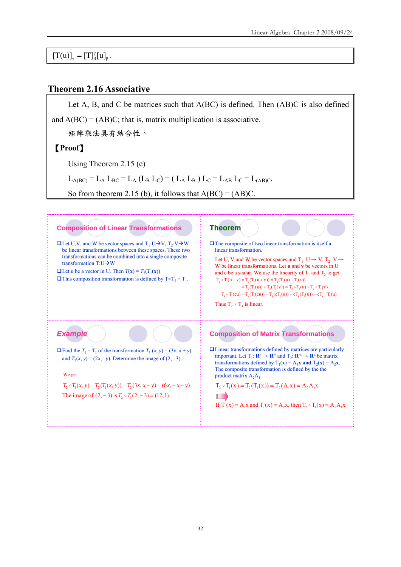β  $[T(u)]_{\gamma} = [T]_{\beta}^{\gamma} [u]_{\beta}.$ 

## **Theorem 2.16 Associative**

Let A, B, and C be matrices such that A(BC) is defined. Then (AB)C is also defined and  $A(BC) = (AB)C$ ; that is, matrix multiplication is associative. 矩陣乘法具有結合性。 【**Proof**】 Using Theorem 2.15 (e)  $L_{\text{A(BC)}} = L_{\text{A}} L_{\text{BC}} = L_{\text{A}} (L_{\text{B}} L_{\text{C}}) = (L_{\text{A}} L_{\text{B}}) L_{\text{C}} = L_{\text{AB}} L_{\text{C}} = L_{\text{(AB)C}}.$ So from theorem 2.15 (b), it follows that  $A(BC) = (AB)C$ .

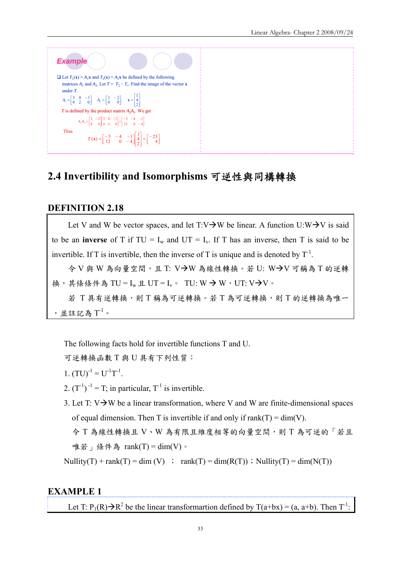

# **2.4 Invertibility and Isomorphisms** 可逆性與同構轉換

## **DEFINITION 2.18**

Let V and W be vector spaces, and let  $T:V\rightarrow W$  be linear. A function  $U:W\rightarrow V$  is said to be an **inverse** of T if  $TU = I_w$  and  $UT = I_v$ . If T has an inverse, then T is said to be invertible. If T is invertible, then the inverse of T is unique and is denoted by  $T^{-1}$ .  $\textcircled{\ensuremath{\star}}$  V 與 W 為向量空間,且 T: V $\textup{\textcircled{\hspace{-0.05cm}\text{--}}\hspace{-0.05cm}}$  V  $\textcircled{\hspace{-0.05cm}\text{--}\hspace{-0.05cm}}$  W  $\textcircled{\hspace{-0.05cm}\text{--}\hspace{-0.05cm}}$  W  $\textcircled{\hspace{-0.05cm}\text{--}\hspace{-0.05cm}}$  W  $\textcircled{\hspace{-0.05cm}\text{--}\hspace{-0.05cm}}$  W  $\textcircled{\hspace{-0.05cm}\text{--}\hspace{-0.0$ 換,其條條件為 TU = Iw 且 UT = Iv。 TU: W → W, UT: V→V。

若 T 具有逆轉換,則 T 稱為可逆轉換。若 T 為可逆轉換,則 T 的逆轉換為唯一 ,並註記為 $\mathrm{T}^1$ 。

The following facts hold for invertible functions T and U.

可逆轉換函數 T 與 U 具有下列性質:

- 1.  $(TU)^{-1} = U^{-1}T^{-1}$ .
- 2.  $(T^{-1})^{-1} = T$ ; in particular,  $T^{-1}$  is invertible.
- 3. Let T:  $V \rightarrow W$  be a linear transformation, where V and W are finite-dimensional spaces of equal dimension. Then T is invertible if and only if  $rank(T) = dim(V)$ .

令 T 為線性轉換且 V、W 為有限且維度相等的向量空間,則 T 為可逆的「若且 唯若」條件為 rank(T) = dim(V)。

Nullity(T) + rank(T) = dim (V) ; rank(T) = dim(R(T)); Nullity(T) = dim(N(T))

## **EXAMPLE 1**

Let T:  $P_1(R) \rightarrow R^2$  be the linear transformartion defined by T(a+bx) = (a, a+b). Then T<sup>-1</sup>: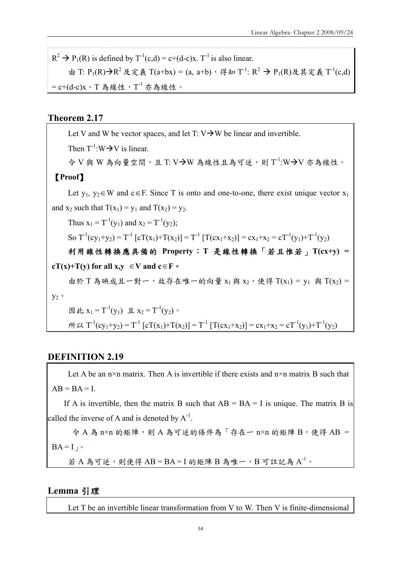$R^2 \rightarrow P_1(R)$  is defined by  $T^1(c,d) = c+(d-c)x$ . T<sup>-1</sup> is also linear. 由 T: P<sub>1</sub>(R)→R<sup>2</sup> 及定義 T(a+bx) = (a, a+b), 得知 T<sup>-1</sup>: R<sup>2</sup> → P<sub>1</sub>(R)及其定義 T<sup>-1</sup>(c,d) =  $c+(d-c)x$ 。T為線性, T<sup>-1</sup> 亦為線性。

## **Theorem 2.17**

Let V and W be vector spaces, and let T:  $V \rightarrow W$  be linear and invertible. Then  $T^{-1}:W \rightarrow V$  is linear.  $\diamond$  V 與 W 為向量空間,且 T: V→W 為線性且為可逆,則 T<sup>-1</sup>:W→V 亦為線性。 【**Proof**】 Let  $y_1, y_2 \in W$  and  $c \in F$ . Since T is onto and one-to-one, there exist unique vector  $x_1$ and  $x_2$  such that  $T(x_1) = y_1$  and  $T(x_2) = y_2$ . Thus  $x_1 = T^{-1}(y_1)$  and  $x_2 = T^{-1}(y_2)$ ; So  $T^{-1}(cy_1+y_2) = T^{-1} [cT(x_1)+T(x_2)] = T^{-1} [T(cx_1+x_2)] = cx_1+x_2 = cT^{-1}(y_1)+T^{-1}(y_2)$ 利用線性轉換應具備的 **Property**:**T** 是線性轉換「若且惟若」**T(cx+y) = cT(x)+T(y) for all x,y**  $\in$  **V** and **c**∈**F**  $\circ$ 由於 T 為映成且一對一,故存在唯一的向量 x1與 x2,使得 T(x1) = y1 與 T(x2) =  $y_2$ 。 因此  $x_1 = T^{-1}(y_1)$  且  $x_2 = T^{-1}(y_2)$ 。  $\hat{m} \times T^{-1}(cy_1+y_2) = T^{-1} [cT(x_1)+T(x_2)] = T^{-1} [T(cx_1+x_2)] = cx_1+x_2 = cT^{-1}(y_1)+T^{-1}(y_2)$ 

## **DEFINITION 2.19**

Let A be an  $n \times n$  matrix. Then A is invertible if there exists and  $n \times n$  matrix B such that  $AB = BA = I$ .

If A is invertible, then the matrix B such that  $AB = BA = I$  is unique. The matrix B is called the inverse of A and is denoted by  $A^{-1}$ .

 $\hat{\varphi}$  A 為 n×n 的矩陣,則 A 為可逆的條件為「存在一 n×n 的矩陣 B,使得 AB =  $BA = I<sub>1</sub>$ 

若 A 為可逆,則使得 AB=BA=I 的矩陣 B 為唯一, B 可註記為 A<sup>-1</sup>。

#### **Lemma** 引理

Let T be an invertible linear transformation from V to W. Then V is finite-dimensional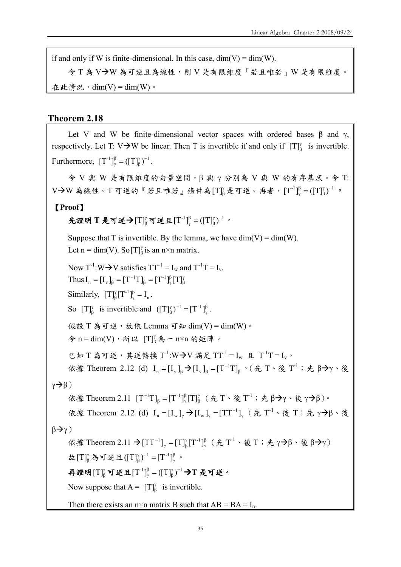if and only if W is finite-dimensional. In this case,  $\dim(V) = \dim(W)$ .

今 T 為 V→W 為可逆且為線性,則 V 是有限維度「若且唯若」W 是有限維度。 在此情況,  $dim(V) = dim(W)$ 。

## **Theorem 2.18**

Let V and W be finite-dimensional vector spaces with ordered bases  $\beta$  and  $\gamma$ , respectively. Let T: V $\rightarrow$ W be linear. Then T is invertible if and only if  $[T]_B^{\gamma}$  is invertible. Furthermore,  $[T^{-1}]_{\gamma}^{\beta} = ([T]_{\beta}^{\gamma})^{-1}$ β  $\frac{\beta}{\gamma} = (\llbracket T \rrbracket^{\gamma}_{\beta})^{-1}.$ 令 V 與 W 是有限維度的向量空間,β 與 γ 分別為 V 與 W 的有序基底。令 T:  $V \rightarrow W$ 為線性。Τ 可逆的『若且唯若』條件為 [Τ] $_b^p$ 是可逆。再者, $[T^{-1}]^{\beta}_{\gamma} = ([T]_{\beta}^{\gamma})^{-1}$ β  $\frac{\beta}{\gamma} = (\llbracket T \rrbracket^{\gamma}_{\beta})^{-1}$  o 【**Proof**】 先證明 T 是可逆→ [T] $_{\beta}^{y}$  可逆且 $[T^{-1}]_{\gamma}^{\beta} = ([T]_{\beta}^{\gamma})^{-1}$ β  $\frac{\beta}{\gamma} = (\llbracket T \rrbracket^{\gamma}_{\beta})^{-1}$  . Suppose that T is invertible. By the lemma, we have  $\dim(V) = \dim(W)$ . Let n = dim(V). So [T] $^{\gamma}_{\beta}$  is an n×n matrix. Now  $T^{-1}:W\rightarrow V$  satisfies  $TT^{-1} = I_w$  and  $T^{-1}T = I_v$ . Thus  $I_n = [I_v]_\beta = [T^{-1}T]_\beta = [T^{-1}]_\gamma^{\beta} [T]_\beta^{\gamma}$ β  $I_n = [I_v]_{\beta} = [T^{-1}T]_{\beta} = [T^{-1}]_{\gamma}^{\beta}[T]$ Similarly,  $[T]_{\beta}^{\gamma} [T^{-1}]_{\gamma}^{\beta} = I_n$  $\int_{\beta}^{\gamma} [T^{-1}]_{\gamma}^{\beta} = I_n$ . So  $[T]_{\beta}^{\gamma}$  is invertible and  $([T]_{\beta}^{\gamma})^{-1} = [T^{-1}]_{\gamma}^{\beta}$ . 假設 T 為可逆,故依 Lemma 可知 dim(V) = dim(W)。  $\hat{\varphi}$  n = dim(V), 所以  $[T]_{\beta}^{\gamma}$ 為一 n×n 的矩陣。 已知 T 為可逆, 其逆轉換 T<sup>-1</sup>:W->V 滿足 TT<sup>-1</sup> = Iw 且 T<sup>-1</sup>T = I<sub>v</sub>。 依據 Theorem 2.12 (d)  $I_n = [I_v]_\beta \rightarrow [I_v]_\beta = [T^{-1}T]_\beta$   $\circ$  (先 T  $\cdot$  後 T<sup>-1</sup>; 先 β→γ  $\cdot$  後  $\gamma \rightarrow \beta$ ) 依據 Theorem 2.11  $[T^{-1}T]_{\beta} = [T^{-1}]_{\gamma}^{\beta} [T]_{\beta}^{\gamma}$ β  $[T^{-1}T]_{\beta} = [T^{-1}]_{\gamma}^{\beta} [T]_{\beta}^{\gamma}$  (先 T、後 T<sup>-1</sup>; 先 β  $\rightarrow$  γ、後 γ  $\rightarrow$  β)。 依據 Theorem 2.12 (d)  $I_n = [I_w]_\gamma \rightarrow [I_w]_\gamma = [TT^{-1}]_\gamma$  (先 T<sup>-1</sup>、後 T; 先 γ $\rightarrow$ β、後  $\beta \rightarrow \gamma$ ) 依據 Theorem 2.11 →  $[TT^{-1}]_{\gamma} = [T]^{\gamma}_{\beta} [T^{-1}]_{\gamma}^{\beta}$ γ  $[TT^{-1}]_{\gamma} = [T]_{\beta}^{\gamma} [T^{-1}]_{\gamma}^{\beta}$  (先 T<sup>-1</sup>、後 T; 先 γ → β、後 β → γ) 故  $[T]^\gamma_\beta$  為可逆且 $([T]^\gamma_\beta)^{-1} = [T^{-1}]^\beta_\gamma$ 。 再證明 $[\text{T}]^\gamma_\beta$ 可逆且 $[\text{T}^{-1}]^\beta_\gamma=([\text{T}]^\gamma_\beta)^{-1}$ β  $\frac{\beta}{\gamma}$  =  $(\left[\text{T}\right]_{\beta}^{\gamma})^{-1}$  →  $\text{T}$  是可逆。 Now suppose that  $A = [T]_{\beta}^{ \gamma}$  is invertible. Then there exists an n×n matrix B such that  $AB = BA = I_n$ .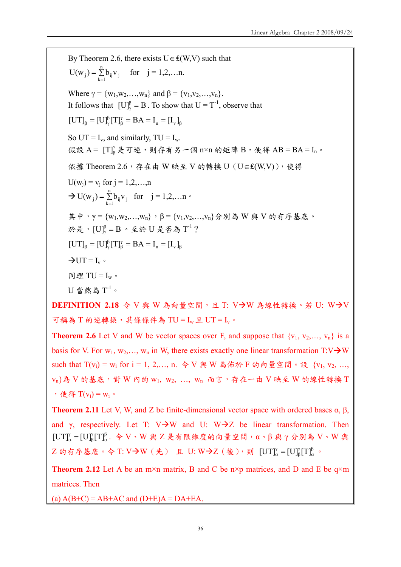By Theorem 2.6, there exists  $U \in \text{£}(W, V)$  such that  $= \sum_{k=1}^{\infty}$  $U(w_j) = \sum_{k=1}^{n} b_{ij} v_j$  for  $j = 1, 2, ... n$ . Where  $\gamma = \{w_1, w_2, \ldots, w_n\}$  and  $\beta = \{v_1, v_2, \ldots, v_n\}$ . It follows that  $[U]_{\gamma}^{\beta} = B$ . To show that  $U = T^{-1}$ , observe that β γ  $\left[\text{UT}\right]_{\beta} = \left[\text{U}\right]_{\gamma}^{\beta} \left[\text{T}\right]_{\beta}^{\gamma} = \text{BA} = \text{I}_{\text{n}} = \left[\text{I}_{\text{v}}\right]_{\beta}$ So UT =  $I_v$ , and similarly, TU =  $I_w$ . 假設 A =  $[T]^\gamma_\beta$ 是可逆,則存有另一個 n×n 的矩陣 B,使得 AB = BA = In。 依據 Theorem 2.6,存在由 W 映至 V 的轉換 U (U∈₤(W,V)),使得  $U(w_i) = v_i$  for  $i = 1, 2, ..., n$  $\rightarrow$  U(w<sub>j</sub>) =  $\sum_{k=1}^{n}$  $U(w_j) = \sum_{k=1}^{n} b_{ij} v_j$  for  $j = 1, 2, ... n$ 其中, γ = {w<sub>1</sub>,w<sub>2</sub>,...,w<sub>n</sub>}, β = {v<sub>1</sub>,v<sub>2</sub>,...,v<sub>n</sub>}分別為 W 與 V 的有序基底。 於是,  $[U]_{\gamma}^{\beta} = B \cdot \mathfrak{L}$ 於  $U \not\in \mathfrak{F}$ 為  $T^{-1}$ ? β γ  $\left[\text{UT}\right]_{\beta} = \left[\text{U}\right]_{\gamma}^{\beta} \left[\text{T}\right]_{\beta}^{\gamma} = \text{BA} = \text{I}_{\text{n}} = \left[\text{I}_{\text{v}}\right]$  $\rightarrow$ UT = I<sub>v</sub>  $\circ$ 同理 TU =  $I_w$ 。  $U$  當然為 $T^{-1}$ 。 **DEFINITION 2.18 令 V 與 W 為向量空間,且 T: V→W 為線性轉換。若 U: W→V** 

可稱為 T 的逆轉換,其條條件為 TU = Iw 且 UT = Iv。

**Theorem 2.6** Let V and W be vector spaces over F, and suppose that  $\{v_1, v_2, ..., v_n\}$  is a basis for V. For  $w_1, w_2, \ldots, w_n$  in W, there exists exactly one linear transformation T:V $\rightarrow$ W such that  $T(v_i) = w_i$  for  $i = 1, 2, ..., n$ . 令 V 與 W 為佈於 F 的向量空間。設  $\{v_1, v_2, ..., v_n\}$  $v_n$ 為 V 的基底,對 W 內的  $w_1$ ,  $w_2$ , ...,  $w_n$  而言, 存在一由 V 映至 W 的線性轉換 T , 使得  $T(v_i) = w_i$ 。

**Theorem 2.11** Let V, W, and Z be finite-dimensional vector space with ordered bases α, β, and γ, respectively. Let T: V $\rightarrow$ W and U: W $\rightarrow$ Z be linear transformation. Then β α γ  $[UT]^\gamma_\alpha = [U]^\gamma_\beta [T]^\beta_\alpha$ . 令 V、W 與 Z 是有限維度的向量空間, α、β 與 γ 分別為 V、W 與 Z 的有序基底。令 T: V→W(先) 且 U: W→Z(後),則 [UT] $_{\alpha}^{\gamma} =$  [U] $_{\beta}^{\gamma}$ [T] $_{\alpha}^{\beta}$ γ  $\left[\mathrm{UT}\right]_{\alpha}^{\gamma} = \left[\mathrm{U}\right]_{\beta}^{\gamma} \left[\mathrm{T}\right]_{\alpha}^{\beta}$  .

**Theorem 2.12** Let A be an m×n matrix, B and C be n×p matrices, and D and E be  $q \times m$ matrices. Then

(a)  $A(B+C) = AB+AC$  and  $(D+E)A = DA+EA$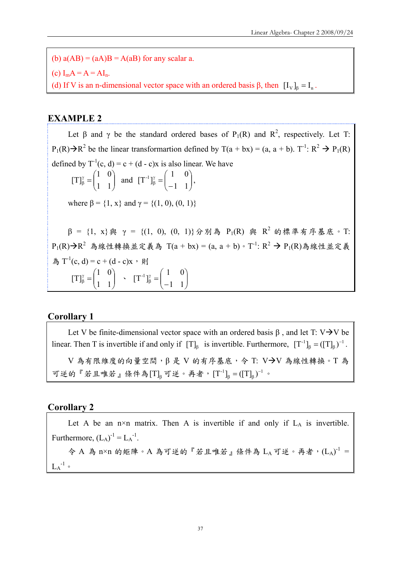(b)  $a(AB) = (aA)B = A(aB)$  for any scalar a. (c)  $I_m A = A = AI_n$ . (d) If V is an n-dimensional vector space with an ordered basis  $\beta$ , then  $[I_v]_{\beta} = I_n$ .

## **EXAMPLE 2**

Let  $\beta$  and  $\gamma$  be the standard ordered bases of P<sub>1</sub>(R) and R<sup>2</sup>, respectively. Let T:  $P_1(R) \rightarrow R^2$  be the linear transformartion defined by T(a + bx) = (a, a + b). T<sup>-1</sup>: R<sup>2</sup>  $\rightarrow$  P<sub>1</sub>(R) defined by  $T^{-1}(c, d) = c + (d - c)x$  is also linear. We have  $\overline{\phantom{a}}$ ⎠ ⎞  $\parallel$ ⎝  $\frac{\gamma}{\beta} = \left($  $\beta$  | 1 1 1 0  $[T]_{\beta}^{\gamma} = \begin{bmatrix} 1 & 0 \\ 1 & 1 \end{bmatrix}$  and  $[T^{-1}]_{\beta}^{\gamma} = \begin{bmatrix} 1 & 0 \\ 0 & 1 \end{bmatrix}$ ⎠ ⎞  $\overline{\phantom{a}}$ ⎝  $\begin{pmatrix} \gamma \\ \beta \end{pmatrix} = \begin{pmatrix} 1 & 0 \\ -1 & 1 \end{pmatrix}$  $[T^{-1}]_6^{\gamma} = \begin{pmatrix} 1 & 0 \\ 1 & 0 \end{pmatrix},$ where  $\beta = \{1, x\}$  and  $\gamma = \{(1, 0), (0, 1)\}$  $β = {1, x}$   $β$   $γ = { (1, 0), (0, 1)}$   $β$   $β$   $β$   $β$   $β$   $β$   $R<sup>2</sup>$   $b$   $R<sup>2</sup>$   $f$   $β$   $F$   $K<sup>s</sup>$   $F$   $F<sup>s</sup>$ P<sub>1</sub>(R)→R<sup>2</sup> 為線性轉換並定義為 T(a + bx) = (a, a + b)。T<sup>-1</sup>: R<sup>2</sup> → P<sub>1</sub>(R)為線性並定義 為  $T^{-1}(c, d) = c + (d - c)x$ , 則  $\sqrt{ }$ ⎠ ⎞  $\parallel$ ⎝  $\frac{\gamma}{\beta} = \left($  $\beta$  | 1 1 1 0  $[T]_{\beta}^{\gamma} = \begin{vmatrix} 1 & 0 \\ 1 & 1 \end{vmatrix}$   $\gamma$   $[T^{-1}]_{\beta}^{\gamma} = \begin{vmatrix} 1 & 0 \\ 0 & 1 \end{vmatrix}$ ⎠ ⎞  $\overline{\phantom{a}}$ ⎝  $\begin{pmatrix} \gamma \\ \beta \end{pmatrix} = \begin{pmatrix} 1 & 0 \\ -1 & 1 \end{pmatrix}$  $[T^{-1}]_6^{\gamma} = \begin{pmatrix} 1 & 0 \\ 1 & 0 \end{pmatrix}$ 

## **Corollary 1**

Let V be finite-dimensional vector space with an ordered basis  $\beta$ , and let T: V $\rightarrow$ V be linear. Then T is invertible if and only if  $[T]_{{\beta}}$  is invertible. Furthermore,  $[T^{-1}]_{{\beta}} = ([T]_{{\beta}})^{-1}$ .  $V$ 為有限維度的向量空間, $β$ 是 V 的有序基底, $\Diamond$  T: V $\rightarrow$ V 為線性轉換。T為 可逆的『若且唯若』條件為 $[T]_β$ 可逆。再者,  $[T^{-1}]_β = ([T]_β)^{-1}$ 。

#### **Corollary 2**

Let A be an  $n \times n$  matrix. Then A is invertible if and only if  $L_A$  is invertible. Furthermore,  $(L_A)^{-1} = L_A^{-1}$ . 令 A 為 n×n 的矩陣。A 為可逆的『若且唯若』條件為 LA 可逆。再者,  $(L_A)^{-1}$  =  $L_A^{-1}$  .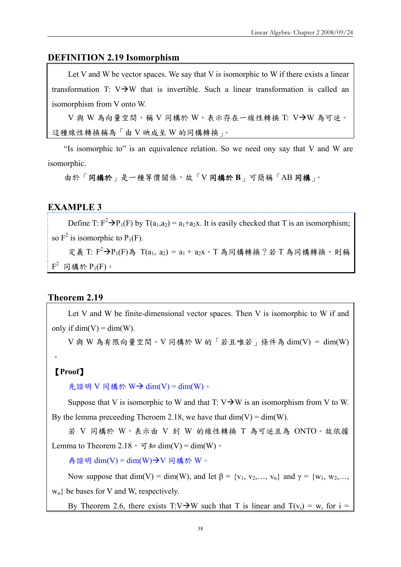## **DEFINITION 2.19 Isomorphism**

Let V and W be vector spaces. We say that V is isomorphic to W if there exists a linear transformation T:  $V\rightarrow W$  that is invertible. Such a linear transformation is called an isomorphism from V onto W.

 $V$ 與 W 為向量空間,稱 V 同構於 W,表示存在一線性轉換 T: V $\rightarrow$ W 為可逆。 這種線性轉換稱為「由 V 映成至 W 的同構轉換」。

"Is isomorphic to" is an equivalence relation. So we need ony say that V and W are isomorphic.

由於「同構於」是一種等價關係,故「V 同構於 **B**」可簡稱「AB 同構」。

## **EXAMPLE 3**

Define T:  $F^2 \rightarrow P_1(F)$  by T(a<sub>1</sub>,a<sub>2</sub>) = a<sub>1</sub>+a<sub>2</sub>x. It is easily checked that T is an isomorphism; so  $F^2$  is isomorphic to  $P_1(F)$ .

定義 T:  $F^2 \rightarrow P_1(F)$ 為 T(a<sub>1</sub>, a<sub>2</sub>) = a<sub>1</sub> + a<sub>2</sub>x 。 T 為同構轉換? 若 T 為同構轉換,則稱  $F^2$  同構於  $P_1(F)$ 。

#### **Theorem 2.19**

Let V and W be finite-dimensional vector spaces. Then V is isomorphic to W if and only if  $\dim(V) = \dim(W)$ .

 $V$ 與 W 為有限向量空間。 $V$  同構於 W 的「若且唯若」條件為 dim(V) = dim(W)

#### 【**Proof**】

 $\circ$ 

先證明 V 同構於 W $\rightarrow$  dim(V) = dim(W) 。

Suppose that V is isomorphic to W and that T:  $V\rightarrow W$  is an isomorphism from V to W. By the lemma preceeding Theroem 2.18, we have that  $\dim(V) = \dim(W)$ .

若 V 同構於 W,表示由 V 到 W 的線性轉換 T 為可逆且為 ONTO。故依據 Lemma to Theorem 2.18,  $\overline{q}$  for dim(V) = dim(W)  $\overline{q}$ .

再證明 dim(V) = dim(W)  $\rightarrow$  V 同構於 W。

Now suppose that dim(V) = dim(W), and let  $\beta = \{v_1, v_2, \dots, v_n\}$  and  $\gamma = \{w_1, w_2, \dots, w_n\}$  $w_n$ } be bases for V and W, respectively.

By Theorem 2.6, there exists T:V $\rightarrow$ W such that T is linear and T(v<sub>i</sub>) = w<sub>i</sub> for i =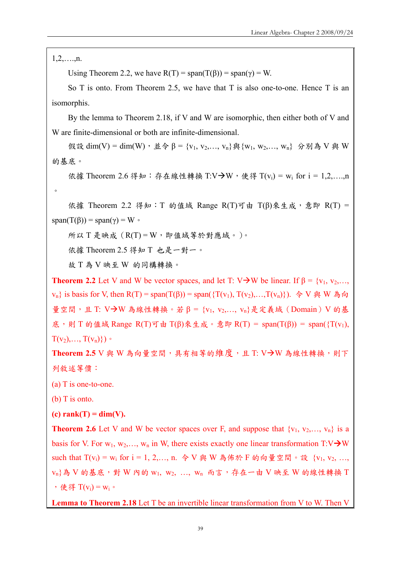$1, 2, \ldots, n$ .

 $\circ$ 

Using Theorem 2.2, we have  $R(T) = span(T(\beta)) = span(\gamma) = W$ .

So T is onto. From Theorem 2.5, we have that T is also one-to-one. Hence T is an isomorphis.

By the lemma to Theorem 2.18, if V and W are isomorphic, then either both of V and W are finite-dimensional or both are infinite-dimensional.

假設 dim(V) = dim(W), 並令 β = {v<sub>1</sub>, v<sub>2</sub>,..., v<sub>n</sub>} 與 {w<sub>1</sub>, w<sub>2</sub>,..., w<sub>n</sub>} 分別為 V 與 W 的基底。

依據 Theorem 2.6 得知: 存在線性轉換 T:V→W, 使得 T(v<sub>i</sub>) = w<sub>i</sub> for i = 1,2,....,n

依據 Theorem 2.2 得知: T 的值域 Range R(T)可由 T(β)來生成, 意即 R(T) = span(T(β)) = span(γ) = W  $\circ$ 

所以 T 是映成 (R(T) = W, 即值域等於對應域。)。

依據 Theorem 2.5 得知 T 也是一對一。

故 T 為 V 映至 W 的同構轉換。

**Theorem 2.2** Let V and W be vector spaces, and let T: V $\rightarrow$ W be linear. If  $\beta = \{v_1, v_2, \dots, v_n\}$  $v_n$ } is basis for V, then R(T) = span(T(β)) = span({T(v<sub>1</sub>), T(v<sub>2</sub>),...,T(v<sub>n</sub>)}). 令 V 與 W 為向 量空間,且 T: V-W 為線性轉換。若 β = {v<sub>1</sub>, v<sub>2</sub>,..., v<sub>n</sub>}是定義域 (Domain) V 的基 底,則 T 的值域 Range R(T)可由 T(β)來生成。意即 R(T) = span(T(β)) = span({T(v<sub>1</sub>),  $T(v_2),..., T(v_n)\})$ 

Theorem 2.5 V 與 W 為向量空間,具有相等的維度,且 T: V-W 為線性轉換,則下 列敘述等價:

(a) T is one-to-one.

(b) T is onto.

 $(c)$  rank $(T)$  = dim(V).

**Theorem 2.6** Let V and W be vector spaces over F, and suppose that  $\{v_1, v_2, ..., v_n\}$  is a basis for V. For  $w_1, w_2,..., w_n$  in W, there exists exactly one linear transformation T:V $\rightarrow$ W such that  $T(v_i) = w_i$  for  $i = 1, 2, ..., n$ . 令 V 與 W 為佈於 F 的向量空間。設  $\{v_1, v_2, ..., v_n\}$  $\{v_n\}$ 為 V 的基底,對 W 內的  $w_1, w_2, ..., w_n$ 而言,存在一由 V 映至 W 的線性轉換 T , 使得  $T(v_i) = w_i$ 。

**Lemma to Theorem 2.18** Let T be an invertible linear transformation from V to W. Then V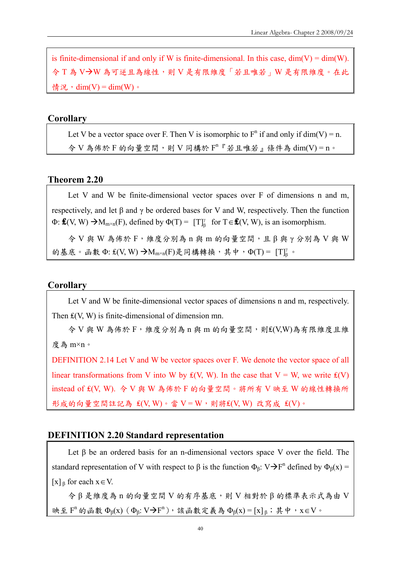is finite-dimensional if and only if W is finite-dimensional. In this case,  $dim(V) = dim(W)$ . 今 T 為 V→W 為可逆且為線性,則 V 是有限維度「若且唯若」W 是有限維度。在此 情況, dim(V) = dim(W)。

#### **Corollary**

Let V be a vector space over F. Then V is isomorphic to  $F<sup>n</sup>$  if and only if dim(V) = n.  $\hat{\phi}$  V 為佈於 F 的向量空間,則 V 同構於  $F^n$  『若且唯若』條件為 dim(V) = n。

#### **Theorem 2.20**

Let V and W be finite-dimensional vector spaces over F of dimensions n and m, respectively, and let β and γ be ordered bases for V and W, respectively. Then the function  $\Phi$ : **₤**(V, W)  $\rightarrow M_{m \times n}(F)$ , defined by  $\Phi(T) = [T]_{\beta}^{n}$  for  $T \in \mathbf{£}(V, W)$ , is an isomorphism.

令 V 與 W 為佈於 F,維度分別為 n 與 m 的向量空間,且 β 與 γ 分別為 V 與 W 的基底。函數 Φ:  $\pounds$ (V, W) → M<sub>m×n</sub>(F)是同構轉換, 其中, Φ(T) = [T] $^{\gamma}_{\beta}$ .

## **Corollary**

Let V and W be finite-dimensional vector spaces of dimensions n and m, respectively. Then  $f(V, W)$  is finite-dimensional of dimension mn.

令 V 與 W 為佈於 F,維度分別為 n 與 m 的向量空間,則₤(V,W)為有限維度且維 度為 m×n。

DEFINITION 2.14 Let V and W be vector spaces over F. We denote the vector space of all linear transformations from V into W by  $f(V, W)$ . In the case that V = W, we write  $f(V)$ instead of ₤(V, W). 令 V 與 W 為佈於 F 的向量空間。將所有 V 映至 W 的線性轉換所 形成的向量空間註記為  $f(V, W) \circ \dot{F} = W$ ,則將 $f(V, W)$ 改寫成 $f(V) \circ$ 

#### **DEFINITION 2.20 Standard representation**

Let  $\beta$  be an ordered basis for an n-dimensional vectors space V over the field. The standard representation of V with respect to  $\beta$  is the function  $\Phi_{\beta}$ : V $\rightarrow$ F<sup>n</sup> defined by  $\Phi_{\beta}(x)$  = [x]  $\beta$  for each  $x \in V$ .

令 β 是維度為 n 的向量空間 V 的有序基底,則 V 相對於 β 的標準表示式為由 V 映至  $F^n$  的函數  $Φ_β(x)$  ( $Φ_β$ : V $→F^n$ ), 該函數定義為  $Φ_β(x) = [x]_β$ ; 其中, x∈V。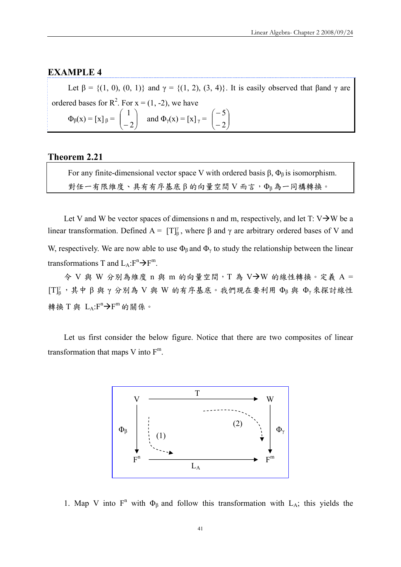#### **EXAMPLE 4**

Let  $\beta = \{(1, 0), (0, 1)\}\$  and  $\gamma = \{(1, 2), (3, 4)\}\$ . It is easily observed that  $\beta$  and  $\gamma$  are ordered bases for  $R^2$ . For  $x = (1, -2)$ , we have  $\Phi_{\beta}(x) = [x]_{\beta} = \begin{bmatrix} 1 \\ -2 \end{bmatrix}$ ⎞  $\overline{\phantom{a}}$  $\big($ 1 and  $\Phi_{\gamma}(x) = [x]_{\gamma} = \begin{bmatrix} 1 & 0 \\ 0 & 1 \end{bmatrix}$ ⎞  $\overline{\phantom{a}}$  $\big($ − 5

⎠

2

⎝

−

**Theorem 2.21** 

⎠

 $-2$ 

⎝

For any finite-dimensional vector space V with ordered basis β,  $Φ_β$  is isomorphism. 對任一有限維度、具有有序基底 β 的向量空間 V 而言,Φβ為一同構轉換。

Let V and W be vector spaces of dimensions n and m, respectively, and let  $T: V \rightarrow W$  be a linear transformation. Defined  $A = [T]_{\beta}^{\gamma}$ , where β and γ are arbitrary ordered bases of V and W, respectively. We are now able to use  $\Phi_\beta$  and  $\Phi_\gamma$  to study the relationship between the linear transformations T and  $L_A: F^n \rightarrow F^m$ .

 $\diamond$  V 與 W 分別為維度 n 與 m 的向量空間, T 為 V->W 的線性轉換。定義 A =  $[T]^\gamma_\beta$ , 其中β與γ分別為 V與 W 的有序基底。我們現在要利用 Φβ與 Φγ來探討線性 轉換 T與 LA:F<sup>n</sup>→F<sup>m</sup>的關係。

Let us first consider the below figure. Notice that there are two composites of linear transformation that maps V into  $F^m$ .



1. Map V into  $F^n$  with  $\Phi_\beta$  and follow this transformation with L<sub>A</sub>; this yields the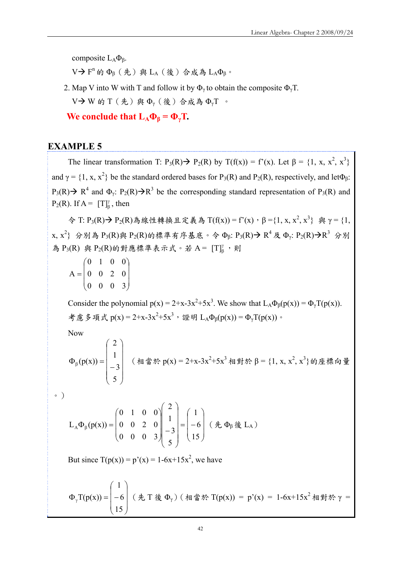composite  $L_A \Phi_B$ .

V →  $F^n$  的  $Φ_β$  (先) 與 L<sub>A</sub> (後) 合成為 L<sub>A</sub> $Φ_β$ 。

2. Map V into W with T and follow it by  $\Phi_{\nu}$  to obtain the composite  $\Phi_{\nu}$ T. V $\rightarrow$  W 的 T (先) 與  $\Phi$ <sub>v</sub> (後) 合成為  $\Phi$ <sub>v</sub>T 。

**We conclude that**  $L_A\Phi_\beta = \Phi_\gamma T$ **.** 

## **EXAMPLE 5**

The linear transformation T:  $P_3(R) \rightarrow P_2(R)$  by  $T(f(x)) = f'(x)$ . Let  $\beta = \{1, x, x^2, x^3\}$ and  $\gamma = \{1, x, x^2\}$  be the standard ordered bases for P<sub>3</sub>(R) and P<sub>2</sub>(R), respectively, and let  $\Phi_{\beta}$ :  $P_3(R) \rightarrow R^4$  and  $\Phi_{\gamma}$ :  $P_2(R) \rightarrow R^3$  be the corresponding standard representation of  $P_3(R)$  and  $P_2(R)$ . If  $A = [T]_{{\beta}}^{\gamma}$ , then

 $\hat{\varphi}$  T: P<sub>3</sub>(R) → P<sub>2</sub>(R)為線性轉換且定義為 T(f(x)) = f'(x), β = {1, x, x<sup>2</sup>, x<sup>3</sup>} 與 γ = {1,  $\{x, x^2\}$  分別為  $P_3(R)$ 與  $P_2(R)$ 的標準有序基底。令 $\Phi_{\beta}$ :  $P_3(R) \rightarrow R^4$ 及 $\Phi_{\gamma}$ :  $P_2(R) \rightarrow R^3$  分别 為  $P_3(R)$  與  $P_2(R)$ 的對應標準表示式。若 A =  $[T]_B^r$ , 則

 $\overline{\phantom{a}}$  $\overline{\phantom{a}}$  $\overline{\phantom{a}}$ ⎠ ⎞  $\overline{ }$  $\mathsf I$  $\mathsf I$ ⎝  $\big($ = 0 0 0 3 0 0 2 0 0 1 0 0 A

Consider the polynomial  $p(x) = 2+x-3x^2+5x^3$ . We show that  $L_A\Phi_{\beta}(p(x)) = \Phi_{\gamma}(p(x))$ . 考慮多項式  $p(x) = 2+x-3x^2+5x^3$ , 證明  $L_A\Phi_\beta(p(x)) = \Phi_\gamma T(p(x))$ 。

Now

$$
\Phi_{\beta}(p(x)) = \begin{pmatrix} 2 \\ 1 \\ -3 \\ 5 \end{pmatrix}
$$
 (1)  $\hat{p}(x) = 2 + x - 3x^2 + 5x^3$  (1)  $\hat{p}(x) = 2 + x - 3x^2 + 5x^3$  (2)  $\hat{p}(x) = 2 + x - 3x^2 + 5x^3$  (3)  $\hat{p}(x) = \begin{pmatrix} 2 \\ 1 \\ 5 \end{pmatrix}$ 

。)

$$
L_A \Phi_{\beta}(p(x)) = \begin{pmatrix} 0 & 1 & 0 & 0 \\ 0 & 0 & 2 & 0 \\ 0 & 0 & 0 & 3 \end{pmatrix} \begin{pmatrix} 2 \\ 1 \\ -3 \\ 5 \end{pmatrix} = \begin{pmatrix} 1 \\ -6 \\ 15 \end{pmatrix} \ (\not{A} \ \Phi_{\beta} \ \& \ L_A)
$$

But since  $T(p(x)) = p'(x) = 1-6x+15x^2$ , we have

$$
\Phi_{\gamma}T(p(x)) = \begin{pmatrix} 1 \\ -6 \\ 15 \end{pmatrix} (\not{t} T \not{\otimes} \Phi_{\gamma}) (\not{t} T \not{\otimes} \Phi_{\gamma}) = p'(x) = 1 - 6x + 15x^2 \not{t} T \not{t} \not{t} \gamma = 1 - 6x + 15x^2 \not{t} T \not{t} \not{t} \gamma
$$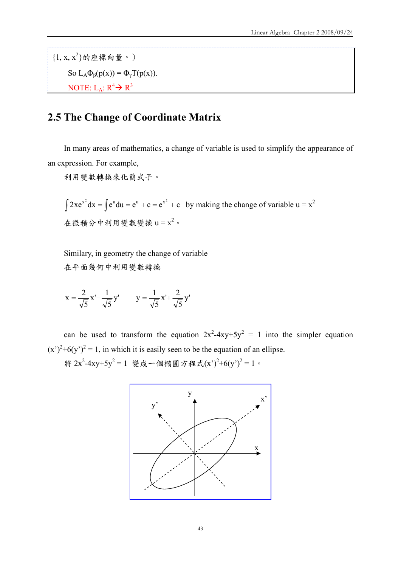$\{1, x, x^2\}$ 的座標向量。) So  $L_A \Phi_B(p(x)) = \Phi_\nu T(p(x))$ . NOTE:  $L_A: R^4 \rightarrow R^3$ 

# **2.5 The Change of Coordinate Matrix**

In many areas of mathematics, a change of variable is used to simplify the appearance of an expression. For example,

利用變數轉換來化簡式子。

 $\int 2xe^{x^2} dx = \int e^u du = e^u + c = e^{x^2} + c$  by making the change of variable  $u = x^2$ 在微積分中利用變數變換  $u = x^2$ 。

Similary, in geometry the change of variable 在平面幾何中利用變數轉換

$$
x = \frac{2}{\sqrt{5}} x' - \frac{1}{\sqrt{5}} y' \qquad y = \frac{1}{\sqrt{5}} x' + \frac{2}{\sqrt{5}} y'
$$

can be used to transform the equation  $2x^2-4xy+5y^2 = 1$  into the simpler equation  $(x')^{2}+6(y')^{2}=1$ , in which it is easily seen to be the equation of an ellipse. 將 2x<sup>2</sup>-4xy+5y<sup>2</sup> = 1 變成一個橢圓方程式(x')<sup>2</sup>+6(y')<sup>2</sup> = 1。

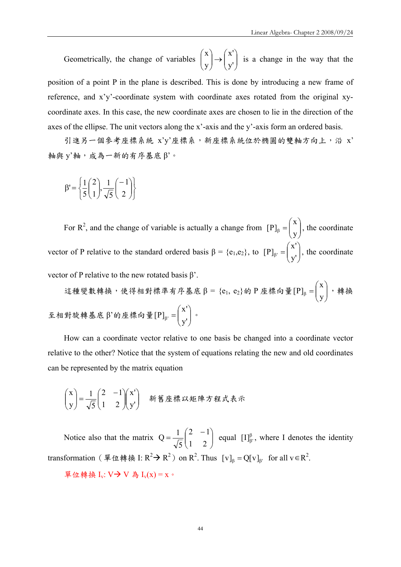Geometrically, the change of variables  $\begin{pmatrix} x \\ y \end{pmatrix} \rightarrow \begin{pmatrix} x \\ y \end{pmatrix}$ ⎠ ⎞  $\vert$ ⎝  $\sqrt{}$  $\rightarrow$ ⎠  $\setminus$  $\overline{\phantom{a}}$ ⎝  $\big($ y' x' y x is a change in the way that the position of a point P in the plane is described. This is done by introducing a new frame of reference, and x'y'-coordinate system with coordinate axes rotated from the original xycoordinate axes. In this case, the new coordinate axes are chosen to lie in the direction of the axes of the ellipse. The unit vectors along the x'-axis and the y'-axis form an ordered basis.

引進另一個參考座標系統 x'y'座標系,新座標系統位於橢圓的雙軸方向上,沿 x' 軸與 y'軸,成為一新的有序基底 β'。

$$
\beta' = \left\{ \frac{1}{5} \begin{pmatrix} 2 \\ 1 \end{pmatrix}, \frac{1}{\sqrt{5}} \begin{pmatrix} -1 \\ 2 \end{pmatrix} \right\}
$$

For R<sup>2</sup>, and the change of variable is actually a change from  $[P]_{\beta} = \begin{bmatrix} 1 \\ 2 \end{bmatrix}$ ⎠ ⎞  $\overline{\phantom{a}}$ ⎝  $\beta = \begin{pmatrix} x \\ y \end{pmatrix}$ x [ , the coordinate P] vector of P relative to the standard ordered basis  $\beta = \{e_1, e_2\}$ , to  $[P]_{\beta'} = \begin{bmatrix} 1 \\ 1 \\ 2 \end{bmatrix}$ ⎠ ⎞  $\overline{\phantom{a}}$ ⎝  $\beta' = \begin{pmatrix} x' \\ y' \end{pmatrix}$  $[P]_{\beta'} = \begin{pmatrix} x' \\ y' \end{pmatrix}$ , the coordinate vector of P relative to the new rotated basis  $β$ .

這種變數轉換,使得相對標準有序基底 β = {e<sub>1</sub>, e<sub>2</sub>}的 P 座標向量 [P]<sub>β</sub> =  $\begin{bmatrix} 1 \\ 1 \end{bmatrix}$ ⎠ ⎞  $\overline{\phantom{a}}$ ⎝  $\beta = \begin{pmatrix} x \\ y \end{pmatrix}$ x  $[P]_{\scriptscriptstyle{R}}$  =  $\vert$   $\vert$  , 轉換 至相對旋轉基底 β'的座標向量 $[P]_{\beta}$ ' =  $\begin{pmatrix} 1 \\ V \end{pmatrix}$ ⎠ ⎞  $\overline{\phantom{a}}$ ⎝  $\beta' = \begin{pmatrix} x' \\ y' \end{pmatrix}$  $[P]_{\beta'} = \begin{pmatrix} X' \\ Y' \end{pmatrix}$  .

How can a coordinate vector relative to one basis be changed into a coordinate vector relative to the other? Notice that the system of equations relating the new and old coordinates can be represented by the matrix equation

$$
\begin{pmatrix} x \\ y \end{pmatrix} = \frac{1}{\sqrt{5}} \begin{pmatrix} 2 & -1 \\ 1 & 2 \end{pmatrix} \begin{pmatrix} x' \\ y' \end{pmatrix} \quad \text{新\ddot{g}} \,\underline{\text{m}}\,\overline{\text{m}}\,\underline{\text{m}}\,\underline{\text{m}}\,\underline{\text{m}}\,\underline{\text{m}}\,\underline{\text{m}}\,\underline{\text{m}}\,\underline{\text{m}}\,\underline{\text{m}}\,\underline{\text{m}}\,\underline{\text{m}}\,\underline{\text{m}}\,\underline{\text{m}}\,\underline{\text{m}}\,\underline{\text{m}}\,\underline{\text{m}}\,\underline{\text{m}}\,\underline{\text{m}}\,\underline{\text{m}}\,\underline{\text{m}}\,\underline{\text{m}}\,\underline{\text{m}}\,\underline{\text{m}}\,\underline{\text{m}}\,\underline{\text{m}}\,\underline{\text{m}}\,\underline{\text{m}}\,\underline{\text{m}}\,\underline{\text{m}}\,\underline{\text{m}}\,\underline{\text{m}}\,\underline{\text{m}}\,\underline{\text{m}}\,\underline{\text{m}}\,\underline{\text{m}}\,\underline{\text{m}}\,\underline{\text{m}}\,\underline{\text{m}}\,\underline{\text{m}}\,\underline{\text{m}}\,\underline{\text{m}}\,\underline{\text{m}}\,\underline{\text{m}}\,\underline{\text{m}}\,\underline{\text{m}}\,\underline{\text{m}}\,\underline{\text{m}}\,\underline{\text{m}}\,\underline{\text{m}}\,\underline{\text{m}}\,\underline{\text{m}}\,\underline{\text{m}}\,\underline{\text{m}}\,\underline{\text{m}}\,\underline{\text{m}}\,\underline{\text{m}}\,\underline{\text{m}}\,\underline{\text{m}}\,\underline{\text{m}}\,\underline{\text{m}}\,\underline{\text{m}}\,\underline{\text{m}}\,\underline{\text{m}}\,\underline{\text{m}}\,\underline{\text{m}}\,\underline{\text{m}}\,\underline{\text{m}}\,\underline{\text{m}}\,\underline{\text{m}}\,\underline{\text{m}}\,\underline{\text{m}}\,\underline{\text{m}}\,\underline{\text{m}}\,\underline{\text{m}}\,\underline{\text{m}}\,\underline{\text{m}}\,\underline{\text{m}}\,\underline{\text{m}}\,\underline{\text{m}}\,\underline{\text{m}}\,\underline{\text{m}}\,\underline{\text{m}}\,\underline{\text{m}}\,\underline{\text{m}}\
$$

Notice also that the matrix  $Q = \frac{1}{\sqrt{5}} \begin{bmatrix} 2 & 1 \\ 1 & 2 \end{bmatrix}$ ⎠ ⎞  $\overline{\phantom{a}}$  $=\frac{1}{\sqrt{5}}\begin{pmatrix} 2 & -1 \\ 1 & 2 \end{pmatrix}$ 5  $Q = \frac{1}{\sqrt{2}} \begin{pmatrix} 2 & -1 \\ 1 & 2 \end{pmatrix}$  equal  $[I]_{\beta}^{\beta}$ , where I denotes the identity transformation (單位轉換 I:  $R^2 \rightarrow R^2$ ) on  $R^2$ . Thus  $[v]_\beta = Q[v]_\beta$  for all  $v \in R^2$ .

單位轉換 I<sub>v</sub>: V $\rightarrow$  V 為 I<sub>v</sub>(x) = x。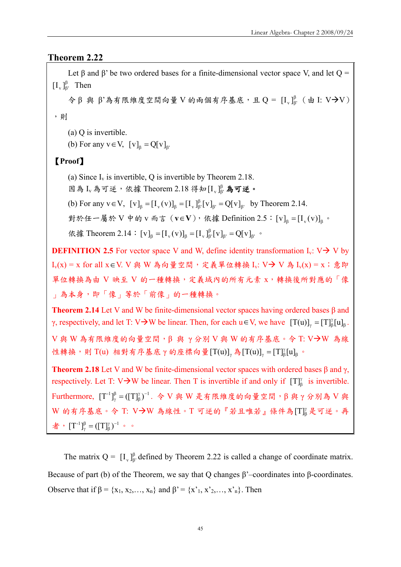## **Theorem 2.22**

Let  $\beta$  and  $\beta$ ' be two ordered bases for a finite-dimensional vector space V, and let  $O =$  $[I_{\nu}]^{\beta}_{\beta'}$  Then  $\hat{\varphi}$ β 與 β'為有限維度空間向量 V 的兩個有序基底,且 Q = [I<sub>v</sub> ] $_{\beta}$  ( 由 I: V->V) ,則 (a) Q is invertible.

(b) For any  $v \in V$ ,  $[v]_{\beta} = Q[v]_{\beta}$ 

## 【**Proof**】

(a) Since  $I_v$  is invertible, Q is invertible by Theorem 2.18.

因為 I<sub>v</sub>為可逆,依據 Theorem 2.18 得知 [I<sub>v</sub>] $\beta$  為可逆。

(b) For any  $v \in V$ ,  $[v]_{\beta} = [I_v(v)]_{\beta} = [I_v]_{\beta'}^{\beta} [v]_{\beta'} = Q[v]_{\beta'}$  by Theorem 2.14.

對於任一屬於 V 中的 v 而言 ( $\mathbf{v} \in \mathbf{V}$ ), 依據 Definition 2.5:  $\|\mathbf{v}\|_{\mathbf{g}} = \left[\mathbf{I}_{\mathbf{v}}(\mathbf{v})\right]_{\mathbf{g}}$ 。

依據 Theorem 2.14:  $[v]_{\beta} = [I_{v}(v)]_{\beta} = [I_{v}]_{\beta}^{\beta} [v]_{\beta} = Q[v]_{\beta}$  ·

**DEFINITION 2.5** For vector space V and W, define identity transformation  $I_v$ : V $\rightarrow$  V by I<sub>v</sub>(x) = x for all x∈V. V 與 W 為向量空間, 定義單位轉換 I<sub>v</sub>: V→ V 為 I<sub>v</sub>(x) = x; 意即 單位轉換為由 V 映至 V 的一種轉換,定義域內的所有元素 x,轉換後所對應的「像 」為本身,即「像」等於「前像」的一種轉換。

**Theorem 2.14** Let V and W be finite-dimensional vector spaces having ordered bases β and γ, respectively, and let T: V $\rightarrow$ W be linear. Then, for each u ∈ V, we have  $[T(u)]_{\gamma} = [T]_{\beta}^{\gamma}[u]_{\beta}$ .

 $V$ 與 W 為有限維度的向量空間, β 與 γ 分別 V 與 W 的有序基底。今 T: V→W 為線 性轉換,則 T(u) 相對有序基底 γ 的座標向量 $[T(u)]$ <sub>γ</sub> 為 $[T(u)]$ <sub>γ</sub> =  $[T]$ <sup>γ</sup>β[u]<sub>β</sub> ·

**Theorem 2.18** Let V and W be finite-dimensional vector spaces with ordered bases  $\beta$  and  $\gamma$ , respectively. Let T: V $\rightarrow$ W be linear. Then T is invertible if and only if  $[T]_p^{\gamma}$  is invertible. Furthermore,  $[T^{-1}]_{\gamma}^{\beta} = ([T]_{\beta}^{\gamma})^{-1}$ β  $\frac{\beta}{\gamma}$  = ([T] $^{\gamma}_{\beta}$ )<sup>-1</sup>. 令 V 與 W 是有限維度的向量空間, β 與 γ 分別為 V 與  $W$  的有序基底。令 T: V→W 為線性。T 可逆的『若且唯若』條件為 $[ T ] _{\beta} ^{ \gamma}$ 是可逆。再 者,  $[T^{-1}]_{\nu}^{\beta} = ([T]_{\beta}^{\gamma})^{-1}$ β  $\frac{\beta}{\gamma} = (\llbracket T \rrbracket^{\gamma}_{\beta})^{-1}$  .  $\circ$ 

The matrix  $Q = [I_{v}]_{\beta}^{\beta}$  defined by Theorem 2.22 is called a change of coordinate matrix. Because of part (b) of the Theorem, we say that Q changes  $\beta$ '–coordinates into  $\beta$ -coordinates. Observe that if  $\beta = \{x_1, x_2, ..., x_n\}$  and  $\beta' = \{x'_1, x'_2, ..., x'_n\}$ . Then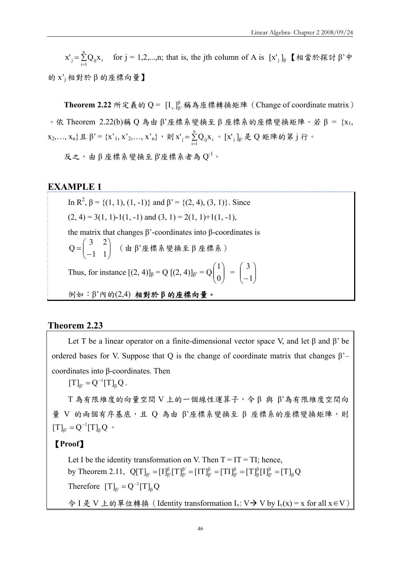$=$  $\sum_{i=1}$ n  $x'_{j} = \sum_{i=1}^{n} Q_{ij} x_{i}$  for j = 1,2,...,n; that is, the jth column of A is  $[x'_{j}]_{\beta}$  【相當於探討 β'中 的 x'j相對於 β 的座標向量】

**Theorem 2.22** 所定義的 Q =  $[I_{\nu}]^{\beta}_{\beta}$  稱為座標轉換矩陣 (Change of coordinate matrix) 。依 Theorem 2.22(b)稱 Q 為由 β'座標系變換至 β 座標系的座標變換矩陣。若 β = {x1,  $x_2,..., x_n$ } 且 β' = {x'<sub>1</sub>, x'<sub>2</sub>,..., x'<sub>n</sub>}, 則 x'<sub>j</sub> =  $\sum_{i=1}$ n  $x^{\prime}_{\; j} \! =\! \sum\limits_{\rm i =1}\! {\rm Q}_{\rm ij}x^{\rm }_{\rm i}$ 。  $\, [\,x^{\prime}_{\; j}\,]_{\beta^{\prime}}$ 是  $\rm Q$  矩陣的第 j 行。

 $\mathcal{R}$ 之,由 β 座標系變換至 β'座標系者為  $O^{-1}$ 。

## **EXAMPLE 1**

In  $\mathbb{R}^2$ ,  $\beta = \{(1, 1), (1, -1)\}\$  and  $\beta' = \{(2, 4), (3, 1)\}\$ . Since  $(2, 4) = 3(1, 1) - 1(1, -1)$  and  $(3, 1) = 2(1, 1) + 1(1, -1)$ , the matrix that changes β'-coordinates into β-coordinates is  $\sqrt{2}$ ⎠ ⎞  $\overline{\phantom{a}}$ ⎝  $=\begin{pmatrix} 3 & 2 \\ -1 & 1 \end{pmatrix}$ 3 2  $Q = \begin{bmatrix} 2 & 7 \end{bmatrix}$  (由β'座標系變換至β座標系) Thus, for instance  $[(2, 4)]_{\beta} = Q [(2, 4)]_{\beta} = Q \begin{bmatrix} 1 \\ 0 \end{bmatrix}$ ⎠ ⎞  $\parallel$ ⎝  $\sqrt{}$ 0 1  $=\begin{bmatrix} 5 \\ -1 \end{bmatrix}$ ⎠ ⎞  $\parallel$ ⎝  $\sqrt{}$ −1 3 例如:β'內的(2,4) 相對於 **β** 的座標向量。

## **Theorem 2.23**

Let T be a linear operator on a finite-dimensional vector space V, and let  $\beta$  and  $\beta$ ' be ordered bases for V. Suppose that Q is the change of coordinate matrix that changes  $\beta$ '– coordinates into β-coordinates. Then

 $[T]_{\beta'} = Q^{-1}[T]_{\beta} Q$  $<sub>β'</sub> = Q^{-1}[T]<sub>β</sub>Q.$ </sub>

T 為有限維度的向量空間 V 上的一個線性運算子,令 β 與 β'為有限維度空間向 量 V 的兩個有序基底,且 Q 為由 β'座標系變換至 β 座標系的座標變換矩陣,則  $[T]_{\beta'} = Q^{-1}[T]_{\beta} Q$  $_{\beta'} = Q^{-1}[T]_{\beta} Q$  •

## 【**Proof**】

Let I be the identity transformation on V. Then  $T = IT = TI$ ; hence, by Theorem 2.11,  $Q[T]_{\beta'} = [I]^{\beta}_{\beta'} [T]^{\beta'}_{\beta'} = [IT]^{\beta}_{\beta'} = [TI]^{\beta}_{\beta'} = [T]^{\beta}_{\beta} [I]^{\beta}_{\beta'} = [T]_{\beta} Q$ β β β β β β β β β β  $\mathbf{p}_{\beta} = [\mathbf{I}]^{\beta}_{\beta'}[\mathbf{T}]^{\beta'}_{\beta'} = [\mathbf{I}\mathbf{T}]^{\beta}_{\beta'} = [\mathbf{T}\mathbf{I}]^{\beta}_{\beta'} = [\mathbf{T}\mathbf{I}^{\beta}_{\beta'}[\mathbf{I}]^{\beta}_{\beta'} =$ Therefore  $[T]_{\beta'} = Q^{-1}[T]_{\beta} Q$  $_{\beta'} = Q^-$ 令 I 是 V 上的單位轉換 (Identity transformation I<sub>v</sub>: V → V by I<sub>v</sub>(x) = x for all x ∈ V )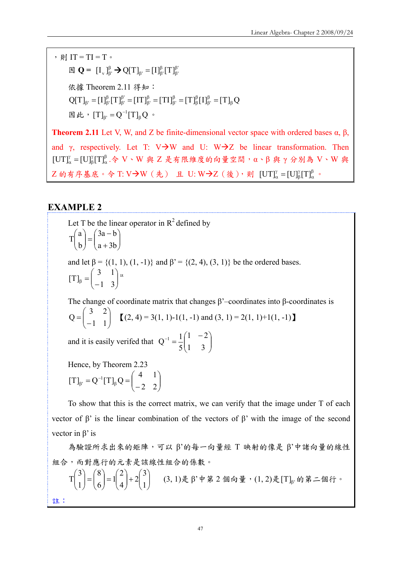, 則  $IT = TI = T$ 。  $\boxtimes \mathbf{Q} = [\mathbf{I}_{v}]_{\beta}^{\beta} \rightarrow \mathbf{Q}[\mathbf{T}]_{\beta} = [\mathbf{I}]_{\beta}^{\beta}[\mathbf{T}]_{\beta}^{\beta}$ β  $_{\beta'} = [I]^{\beta}_{\beta}$ 依據 Theorem 2.11 得知:  $Q[T]_{\beta'} = [I]^{\beta}_{\beta'} [T]^{\beta'}_{\beta'} = [IT]^{\beta}_{\beta'} = [TI]^{\beta}_{\beta'} = [T]^{\beta}_{\beta} [I]^{\beta}_{\beta'} = [T]_{\beta} Q$ β β β β β β β β β β  $\mathbf{p}_{\beta} = [\mathbf{I}]^{\beta}_{\beta'}[\mathbf{T}]^{\beta'}_{\beta'} = [\mathbf{I}\mathbf{T}]^{\beta}_{\beta'} = [\mathbf{T}\mathbf{I}]^{\beta}_{\beta'} = [\mathbf{T}\mathbf{I}^{\beta}_{\beta'}[\mathbf{I}]^{\beta}_{\beta'} =$ 因此,  $[T]_{\beta} = Q^{-1}[T]_{\beta} Q$  $_{\beta'} = Q^{-1}[T]_{\beta} Q$  •

**Theorem 2.11** Let V, W, and Z be finite-dimensional vector space with ordered bases  $\alpha$ ,  $\beta$ , and γ, respectively. Let T: V $\rightarrow$ W and U: W $\rightarrow$ Z be linear transformation. Then β α γ  $[UT]^\gamma_\alpha = [U]^\gamma_\beta [T]^\beta_\alpha$ .令 V、W 與 Z 是有限維度的向量空間, α、β 與 γ 分別為 V、W 與 Z 的有序基底。令 T: V→W(先) 且 U: W→Z(後),則 [UT]" = [U]}[T]" α γ  $\left[\mathrm{UT}\right]_{\alpha}^{\gamma} = \left[\mathrm{U}\right]_{\beta}^{\gamma} \left[\mathrm{T}\right]_{\alpha}^{\beta}$  .

#### **EXAMPLE 2**

Let T be the linear operator in  $R^2$  defined by  $\sqrt{2}$ ⎠  $\setminus$  $\overline{\phantom{a}}$ ⎝  $\big($  $=\begin{pmatrix} 3a - b & 0 \\ a + 3b & 0 \end{pmatrix}$ ⎠ ⎞  $\parallel$ ⎝  $\sqrt{}$  $a + 3b$  $3a - b$ b a  $\begin{bmatrix} 1 \\ 1 \end{bmatrix} = \begin{bmatrix} 1 \\ 1 \end{bmatrix}$ and let  $\beta = \{(1, 1), (1, -1)\}\$  and  $\beta' = \{(2, 4), (3, 1)\}\$  be the ordered bases.  $\overline{\phantom{a}}$ ⎠ ⎞  $\overline{\phantom{a}}$ ⎝  $\beta = \begin{pmatrix} 3 & 1 \\ -1 & 3 \end{pmatrix}$  $[T]_8 = \begin{pmatrix} 3 & 1 \\ 1 & 2 \end{pmatrix}$ 

The change of coordinate matrix that changes  $\beta$ '–coordinates into  $\beta$ -coordinates is  $\sqrt{2}$ ⎠ ⎞  $\overline{\phantom{a}}$ ⎝  $=\begin{pmatrix} 3 & 2 \\ -1 & 1 \end{pmatrix}$ 3 2  $Q = \begin{bmatrix} 1 & 1 \\ 1 & 1 \end{bmatrix}$   $[(2, 4) = 3(1, 1) - 1(1, -1)$  and  $(3, 1) = 2(1, 1) + 1(1, -1)$ 

and it is easily verifed that  $Q^{-1} = \frac{1}{5} \begin{bmatrix} 1 & 2 \end{bmatrix}$ ⎠  $\setminus$  $\overline{\phantom{a}}$ ⎝  $^{-1} = \frac{1}{5} \begin{pmatrix} 1 & -1 \\ 1 & -1 \end{pmatrix}$ 1 3  $1 - 2$ 5  $Q^{-1} = \frac{1}{2}$ 

Hence, by Theorem 2.23

 $\overline{\phantom{a}}$ ⎠  $\mathcal{L}$  $\overline{\phantom{a}}$ ⎝  $_{\beta'} = Q^{-1}[T]_{\beta} Q = \begin{pmatrix} 4 & 1 \\ -2 & 2 \end{pmatrix}$  $[T]_{\beta'} = Q^{-1}[T]_{\beta} Q = \begin{pmatrix} 4 & 1 \\ 2 & 2 \end{pmatrix}$ 

To show that this is the correct matrix, we can verify that the image under T of each vector of β' is the linear combination of the vectors of β' with the image of the second vector in β' is

為驗證所求出來的矩陣,可以 β'的每一向量經 Τ 映射的像是 β'中諸向量的線性 組合,而對應行的元素是該線性組合的係數。

⎟ ⎟ ⎠ ⎞  $\overline{\phantom{a}}$ ⎝  $\Bigg\}+2\Bigg($ ⎠ ⎞  $\overline{\phantom{a}}$  $= 1$ ⎠  $\setminus$  $\parallel$  $=$  $($ ⎠ ⎞  $\parallel$ ⎝  $\sqrt{}$ 1 3 2 4 2 1 6 8 1 3  $T\begin{bmatrix} 1 \end{bmatrix} = \begin{bmatrix} 2 \end{bmatrix} = 1 \begin{bmatrix} 2 \end{bmatrix} + 2 \begin{bmatrix} 3 \end{bmatrix}$  (3, 1)是 β'中第 2 個向量, (1, 2)是 [T]<sub>β</sub> 的第二個行。

註: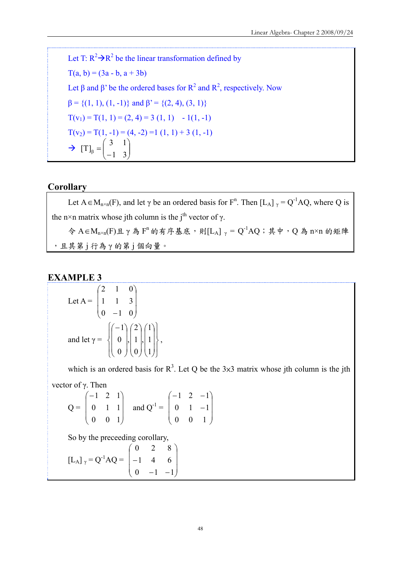Let T:  $R^2 \rightarrow R^2$  be the linear transformation defined by  $T(a, b) = (3a - b, a + 3b)$ Let  $\beta$  and  $\beta$ ' be the ordered bases for  $R^2$  and  $R^2$ , respectively. Now  $β = {(1, 1), (1, -1)}$  and  $β' = {(2, 4), (3, 1)}$  $T(v_1) = T(1, 1) = (2, 4) = 3(1, 1) - 1(1, -1)$  $T(v_2) = T(1, -1) = (4, -2) = 1 (1, 1) + 3 (1, -1)$  $\rightarrow$   $[T]_{\beta} = \begin{bmatrix} 1 & 1 \\ -1 & 3 \end{bmatrix}$ ⎠ ⎞  $\overline{\phantom{a}}$ ⎝  $\beta = \begin{pmatrix} 3 & 1 \\ -1 & 3 \end{pmatrix}$ 3 1  $[T]$ 

## **Corollary**

Let  $A \in M_{n \times n}(F)$ , and let  $\gamma$  be an ordered basis for  $F^n$ . Then  $[L_A]_{\gamma} = Q^{-1}AQ$ , where Q is the n×n matrix whose jth column is the j<sup>th</sup> vector of  $\gamma$ .  $\hat{\varphi}$  A∈M<sub>n×n</sub>(F)且γ為 F<sup>n</sup> 的有序基底,則[L<sub>A</sub>] <sub>γ</sub> = Q<sup>-1</sup>AQ; 其中, Q為 n×n 的矩陣 ,且其第 j 行為 γ 的第 j 個向量。

## **EXAMPLE 3**

Let 
$$
A = \begin{pmatrix} 2 & 1 & 0 \\ 1 & 1 & 3 \\ 0 & -1 & 0 \end{pmatrix}
$$
  
and let  $\gamma = \begin{pmatrix} -1 \\ 0 \\ 0 \end{pmatrix}, \begin{pmatrix} 2 \\ 1 \\ 0 \end{pmatrix}, \begin{pmatrix} 1 \\ 1 \\ 1 \end{pmatrix},$ 

which is an ordered basis for  $R^3$ . Let Q be the 3×3 matrix whose jth column is the jth vector of γ. Then

$$
Q = \begin{pmatrix} -1 & 2 & 1 \\ 0 & 1 & 1 \\ 0 & 0 & 1 \end{pmatrix} \text{ and } Q^{-1} = \begin{pmatrix} -1 & 2 & -1 \\ 0 & 1 & -1 \\ 0 & 0 & 1 \end{pmatrix}
$$

So by the preceeding corollary,

$$
\begin{bmatrix} \mathbf{L}_{\mathbf{A}} \end{bmatrix}_{\gamma} = \mathbf{Q}^{-1} \mathbf{A} \mathbf{Q} = \begin{bmatrix} 0 & 2 & 8 \\ -1 & 4 & 6 \\ 0 & -1 & -1 \end{bmatrix}
$$